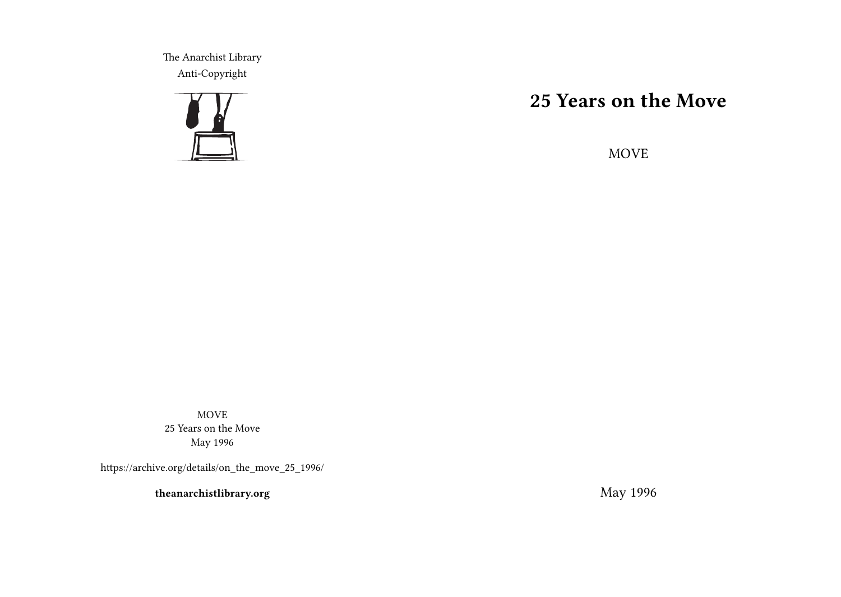The Anarchist Library Anti-Copyright



# **25 Years on the Move**

MOVE

MOVE 25 Years on the Move May 1996

https://archive.org/details/on\_the\_move\_25\_1996/

**theanarchistlibrary.org**

May 1996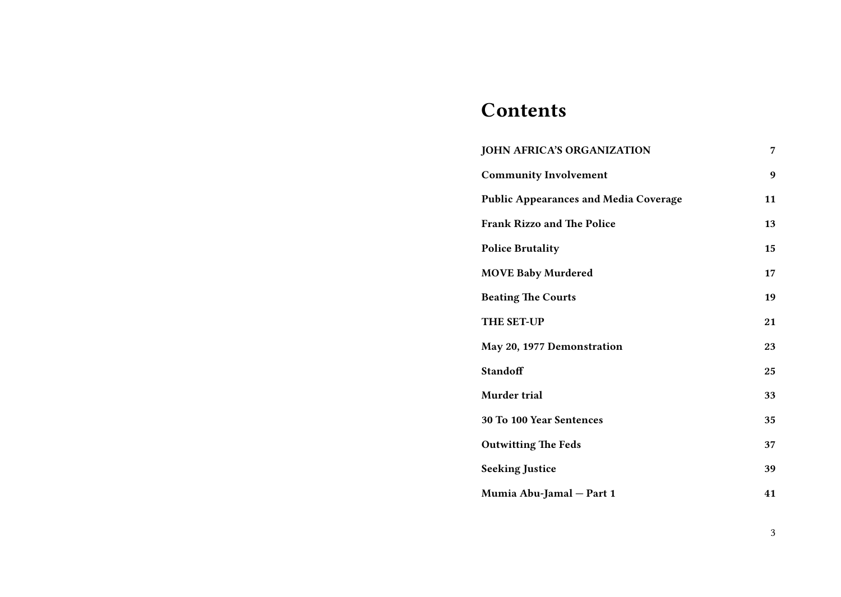# **Contents**

| <b>JOHN AFRICA'S ORGANIZATION</b>            | 7  |
|----------------------------------------------|----|
| <b>Community Involvement</b>                 | 9  |
| <b>Public Appearances and Media Coverage</b> | 11 |
| <b>Frank Rizzo and The Police</b>            | 13 |
| <b>Police Brutality</b>                      | 15 |
| <b>MOVE Baby Murdered</b>                    | 17 |
| <b>Beating The Courts</b>                    | 19 |
| <b>THE SET-UP</b>                            | 21 |
| May 20, 1977 Demonstration                   | 23 |
| Standoff                                     | 25 |
| Murder trial                                 | 33 |
| 30 To 100 Year Sentences                     | 35 |
| <b>Outwitting The Feds</b>                   | 37 |
| <b>Seeking Justice</b>                       | 39 |
| Mumia Abu-Jamal - Part 1                     | 41 |

3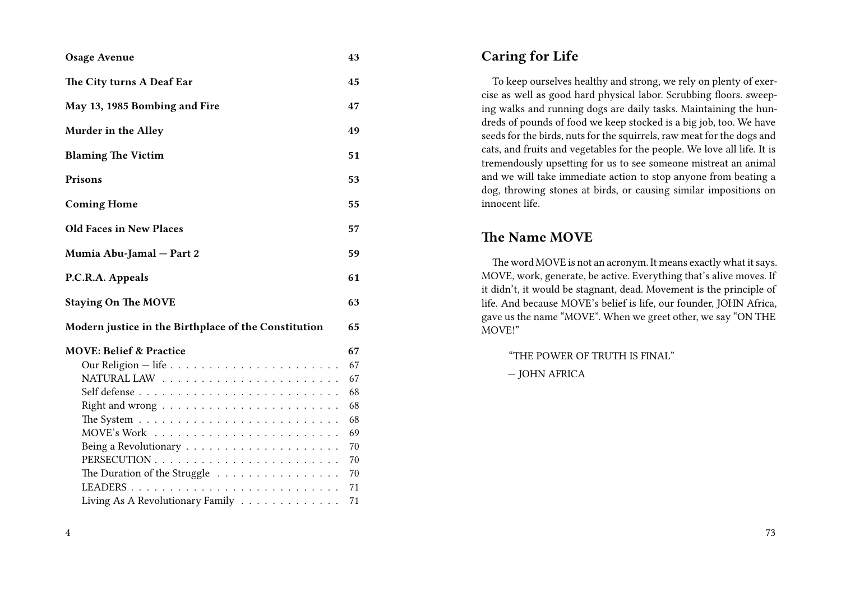#### **Osage Avenue 43**

- **The City turns A Deaf Ear 45**
- **May 13, 1985 Bombing and Fire 47**
- **Murder in the Alley 49**
- **Blaming The Victim 51**
- **Prisons 53**
- **Coming Home 55**
- **Old Faces in New Places 57**
- **Mumia Abu-Jamal Part 2 59**
- **P.C.R.A. Appeals 61**
- **Staying On The MOVE 63**
- **Modern justice in the Birthplace of the Constitution 65**
- **MOVE: Belief & Practice 67** Our Religion — life . . . . . . . . . . . . . . . . . . . . . . 67 NATURAL LAW . . . . . . . . . . . . . . . . . . . . . . . 67 Self defense . . . . . . . . . . . . . . . . . . . . . . . . . . 68 Right and wrong  $\ldots \ldots \ldots \ldots \ldots \ldots \ldots \ldots \ldots$  68 The System . . . . . . . . . . . . . . . . . . . . . . . . . . 68  $\text{MOVE}$ 's Work  $\ldots \ldots \ldots \ldots \ldots \ldots \ldots$ Being a Revolutionary . . . . . . . . . . . . . . . . . . . . 70 PERSECUTION . . . . . . . . . . . . . . . . . . . . . . . . 70 The Duration of the Struggle . . . . . . . . . . . . . . . . 70 LEADERS . . . . . . . . . . . . . . . . . . . . . . . . . . . 71 Living As A Revolutionary Family . . . . . . . . . . . . . 71

| <b>Caring for Life</b> |  |  |
|------------------------|--|--|
|------------------------|--|--|

To keep ourselves healthy and strong, we rely on plenty of exercise as well as good hard physical labor. Scrubbing floors. sweeping walks and running dogs are daily tasks. Maintaining the hundreds of pounds of food we keep stocked is a big job, too. We have seeds for the birds, nuts for the squirrels, raw meat for the dogs and cats, and fruits and vegetables for the people. We love all life. It is tremendously upsetting for us to see someone mistreat an animal and we will take immediate action to stop anyone from beating a dog, throwing stones at birds, or causing similar impositions on innocent life.

#### **The Name MOVE**

The word MOVE is not an acronym. It means exactly what it says. MOVE, work, generate, be active. Everything that's alive moves. If it didn't, it would be stagnant, dead. Movement is the principle of life. And because MOVE's belief is life, our founder, JOHN Africa, gave us the name "MOVE". When we greet other, we say "ON THE MOVE!"

"THE POWER OF TRUTH IS FINAL"

— JOHN AFRICA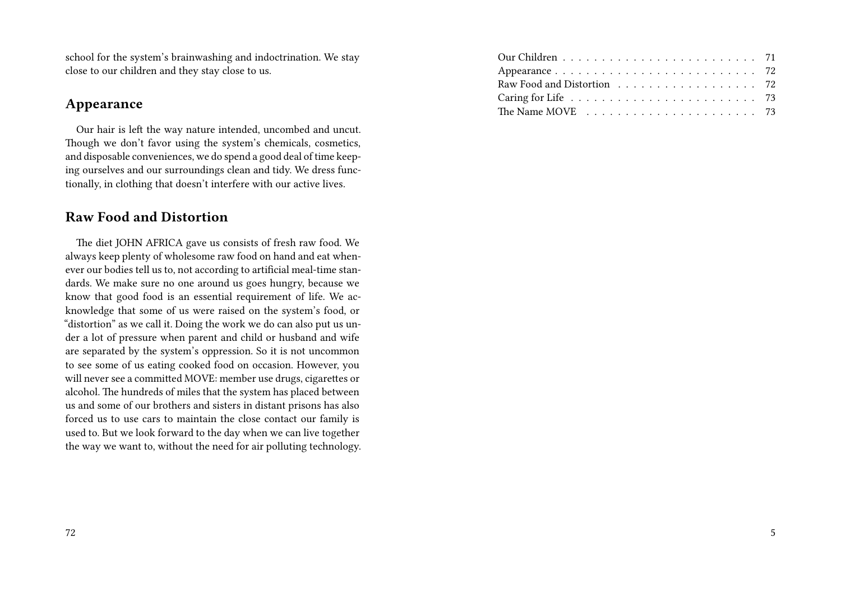school for the system's brainwashing and indoctrination. We stay close to our children and they stay close to us.

#### **Appearance**

Our hair is left the way nature intended, uncombed and uncut. Though we don't favor using the system's chemicals, cosmetics, and disposable conveniences, we do spend a good deal of time keeping ourselves and our surroundings clean and tidy. We dress functionally, in clothing that doesn't interfere with our active lives.

#### **Raw Food and Distortion**

The diet JOHN AFRICA gave us consists of fresh raw food. We always keep plenty of wholesome raw food on hand and eat whenever our bodies tell us to, not according to artificial meal-time standards. We make sure no one around us goes hungry, because we know that good food is an essential requirement of life. We acknowledge that some of us were raised on the system's food, or "distortion" as we call it. Doing the work we do can also put us under a lot of pressure when parent and child or husband and wife are separated by the system's oppression. So it is not uncommon to see some of us eating cooked food on occasion. However, you will never see a committed MOVE: member use drugs, cigarettes or alcohol. The hundreds of miles that the system has placed between us and some of our brothers and sisters in distant prisons has also forced us to use cars to maintain the close contact our family is used to. But we look forward to the day when we can live together the way we want to, without the need for air polluting technology.

| The Name MOVE $\ldots \ldots \ldots \ldots \ldots \ldots \ldots \ldots$ 73 |
|----------------------------------------------------------------------------|
|                                                                            |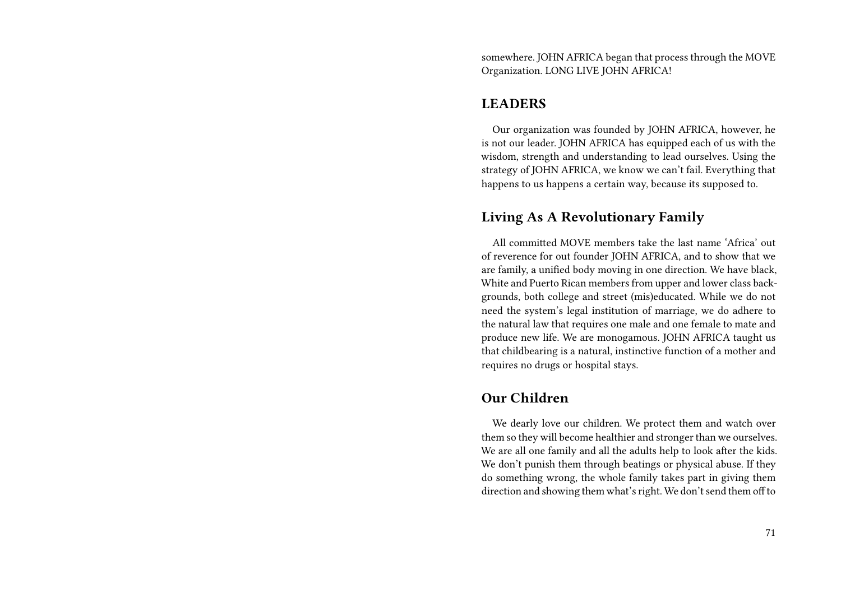somewhere. JOHN AFRICA began that process through the MOVE Organization. LONG LIVE JOHN AFRICA!

#### **LEADERS**

Our organization was founded by JOHN AFRICA, however, he is not our leader. JOHN AFRICA has equipped each of us with the wisdom, strength and understanding to lead ourselves. Using the strategy of JOHN AFRICA, we know we can't fail. Everything that happens to us happens a certain way, because its supposed to.

#### **Living As A Revolutionary Family**

All committed MOVE members take the last name 'Africa' out of reverence for out founder JOHN AFRICA, and to show that we are family, a unified body moving in one direction. We have black, White and Puerto Rican members from upper and lower class backgrounds, both college and street (mis)educated. While we do not need the system's legal institution of marriage, we do adhere to the natural law that requires one male and one female to mate and produce new life. We are monogamous. JOHN AFRICA taught us that childbearing is a natural, instinctive function of a mother and requires no drugs or hospital stays.

#### **Our Children**

We dearly love our children. We protect them and watch over them so they will become healthier and stronger than we ourselves. We are all one family and all the adults help to look after the kids. We don't punish them through beatings or physical abuse. If they do something wrong, the whole family takes part in giving them direction and showing them what's right. We don't send them off to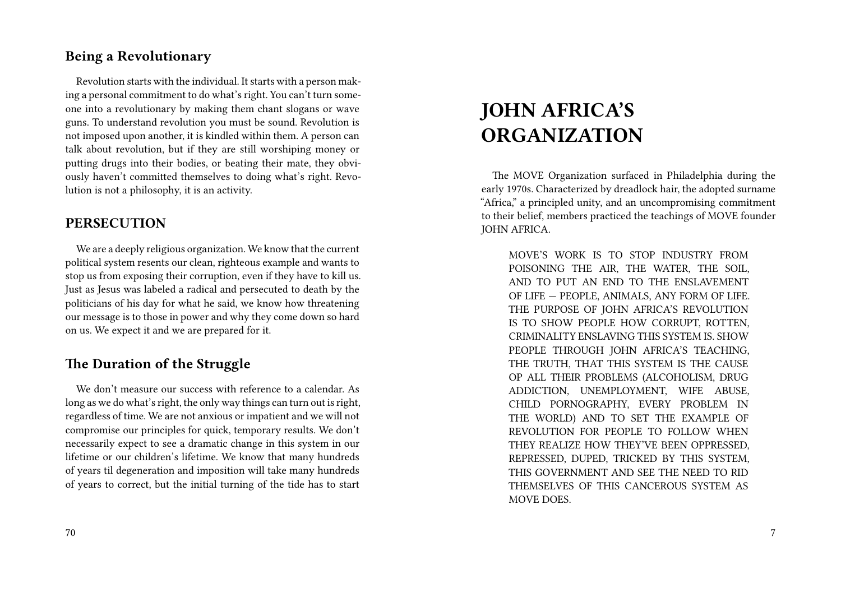#### **Being a Revolutionary**

Revolution starts with the individual. It starts with a person making a personal commitment to do what's right. You can't turn someone into a revolutionary by making them chant slogans or wave guns. To understand revolution you must be sound. Revolution is not imposed upon another, it is kindled within them. A person can talk about revolution, but if they are still worshiping money or putting drugs into their bodies, or beating their mate, they obviously haven't committed themselves to doing what's right. Revolution is not a philosophy, it is an activity.

#### **PERSECUTION**

We are a deeply religious organization. We know that the current political system resents our clean, righteous example and wants to stop us from exposing their corruption, even if they have to kill us. Just as Jesus was labeled a radical and persecuted to death by the politicians of his day for what he said, we know how threatening our message is to those in power and why they come down so hard on us. We expect it and we are prepared for it.

#### **The Duration of the Struggle**

We don't measure our success with reference to a calendar. As long as we do what's right, the only way things can turn out is right, regardless of time. We are not anxious or impatient and we will not compromise our principles for quick, temporary results. We don't necessarily expect to see a dramatic change in this system in our lifetime or our children's lifetime. We know that many hundreds of years til degeneration and imposition will take many hundreds of years to correct, but the initial turning of the tide has to start

# **JOHN AFRICA'S ORGANIZATION**

The MOVE Organization surfaced in Philadelphia during the early 1970s. Characterized by dreadlock hair, the adopted surname "Africa," a principled unity, and an uncompromising commitment to their belief, members practiced the teachings of MOVE founder JOHN AFRICA.

MOVE'S WORK IS TO STOP INDUSTRY FROM POISONING THE AIR, THE WATER, THE SOIL, AND TO PUT AN END TO THE ENSLAVEMENT OF LIFE — PEOPLE, ANIMALS, ANY FORM OF LIFE. THE PURPOSE OF JOHN AFRICA'S REVOLUTION IS TO SHOW PEOPLE HOW CORRUPT, ROTTEN, CRIMINALITY ENSLAVING THIS SYSTEM IS. SHOW PEOPLE THROUGH JOHN AFRICA'S TEACHING, THE TRUTH, THAT THIS SYSTEM IS THE CAUSE OP ALL THEIR PROBLEMS (ALCOHOLISM, DRUG ADDICTION, UNEMPLOYMENT, WIFE ABUSE, CHILD PORNOGRAPHY, EVERY PROBLEM IN THE WORLD) AND TO SET THE EXAMPLE OF REVOLUTION FOR PEOPLE TO FOLLOW WHEN THEY REALIZE HOW THEY'VE BEEN OPPRESSED, REPRESSED, DUPED, TRICKED BY THIS SYSTEM, THIS GOVERNMENT AND SEE THE NEED TO RID THEMSELVES OF THIS CANCEROUS SYSTEM AS MOVE DOES.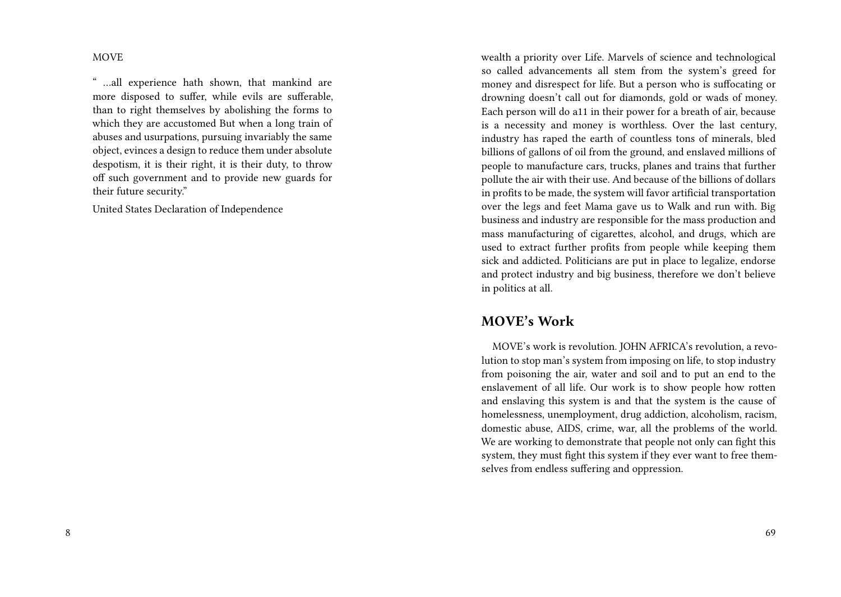MOVE

" …all experience hath shown, that mankind are more disposed to suffer, while evils are sufferable, than to right themselves by abolishing the forms to which they are accustomed But when a long train of abuses and usurpations, pursuing invariably the same object, evinces a design to reduce them under absolute despotism, it is their right, it is their duty, to throw off such government and to provide new guards for their future security."

United States Declaration of Independence

wealth a priority over Life. Marvels of science and technological so called advancements all stem from the system's greed for money and disrespect for life. But a person who is suffocating or drowning doesn't call out for diamonds, gold or wads of money. Each person will do a11 in their power for a breath of air, because is a necessity and money is worthless. Over the last century, industry has raped the earth of countless tons of minerals, bled billions of gallons of oil from the ground, and enslaved millions of people to manufacture cars, trucks, planes and trains that further pollute the air with their use. And because of the billions of dollars in profits to be made, the system will favor artificial transportation over the legs and feet Mama gave us to Walk and run with. Big business and industry are responsible for the mass production and mass manufacturing of cigarettes, alcohol, and drugs, which are used to extract further profits from people while keeping them sick and addicted. Politicians are put in place to legalize, endorse and protect industry and big business, therefore we don't believe in politics at all.

#### **MOVE's Work**

MOVE's work is revolution. JOHN AFRICA's revolution, a revolution to stop man's system from imposing on life, to stop industry from poisoning the air, water and soil and to put an end to the enslavement of all life. Our work is to show people how rotten and enslaving this system is and that the system is the cause of homelessness, unemployment, drug addiction, alcoholism, racism, domestic abuse, AIDS, crime, war, all the problems of the world. We are working to demonstrate that people not only can fight this system, they must fight this system if they ever want to free themselves from endless suffering and oppression.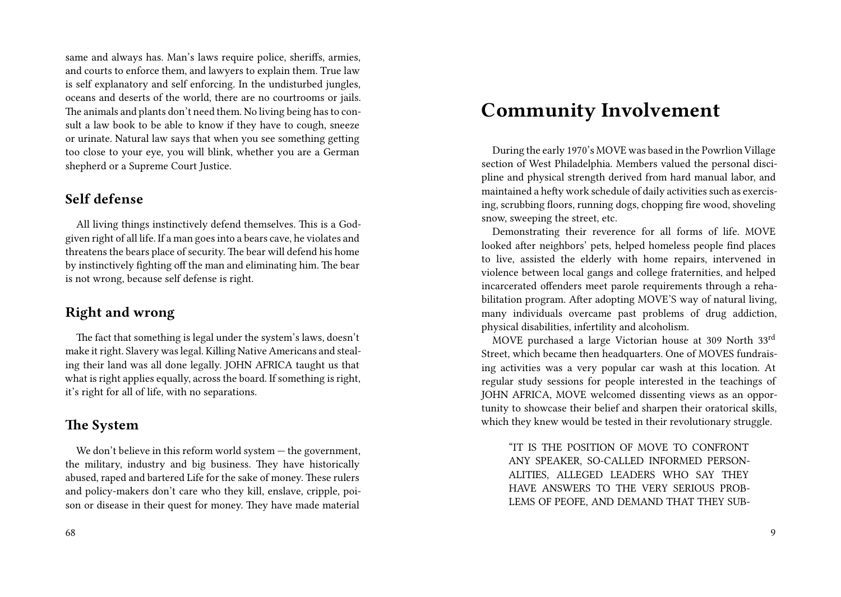same and always has. Man's laws require police, sheriffs, armies, and courts to enforce them, and lawyers to explain them. True law is self explanatory and self enforcing. In the undisturbed jungles, oceans and deserts of the world, there are no courtrooms or jails. The animals and plants don't need them. No living being has to consult a law book to be able to know if they have to cough, sneeze or urinate. Natural law says that when you see something getting too close to your eye, you will blink, whether you are a German shepherd or a Supreme Court Justice.

#### **Self defense**

All living things instinctively defend themselves. This is a Godgiven right of all life. If a man goes into a bears cave, he violates and threatens the bears place of security. The bear will defend his home by instinctively fighting off the man and eliminating him. The bear is not wrong, because self defense is right.

#### **Right and wrong**

The fact that something is legal under the system's laws, doesn't make it right. Slavery was legal. Killing Native Americans and stealing their land was all done legally. JOHN AFRICA taught us that what is right applies equally, across the board. If something is right, it's right for all of life, with no separations.

#### **The System**

We don't believe in this reform world system — the government, the military, industry and big business. They have historically abused, raped and bartered Life for the sake of money. These rulers and policy-makers don't care who they kill, enslave, cripple, poison or disease in their quest for money. They have made material

### **Community Involvement**

During the early 1970's MOVE was based in the Powrlion Village section of West Philadelphia. Members valued the personal discipline and physical strength derived from hard manual labor, and maintained a hefty work schedule of daily activities such as exercising, scrubbing floors, running dogs, chopping fire wood, shoveling snow, sweeping the street, etc.

Demonstrating their reverence for all forms of life. MOVE looked after neighbors' pets, helped homeless people find places to live, assisted the elderly with home repairs, intervened in violence between local gangs and college fraternities, and helped incarcerated offenders meet parole requirements through a rehabilitation program. After adopting MOVE'S way of natural living, many individuals overcame past problems of drug addiction, physical disabilities, infertility and alcoholism.

MOVE purchased a large Victorian house at 309 North 33rd Street, which became then headquarters. One of MOVES fundraising activities was a very popular car wash at this location. At regular study sessions for people interested in the teachings of JOHN AFRICA, MOVE welcomed dissenting views as an opportunity to showcase their belief and sharpen their oratorical skills, which they knew would be tested in their revolutionary struggle.

"IT IS THE POSITION OF MOVE TO CONFRONT ANY SPEAKER, SO-CALLED INFORMED PERSON-ALITIES, ALLEGED LEADERS WHO SAY THEY HAVE ANSWERS TO THE VERY SERIOUS PROB-LEMS OF PEOFE, AND DEMAND THAT THEY SUB-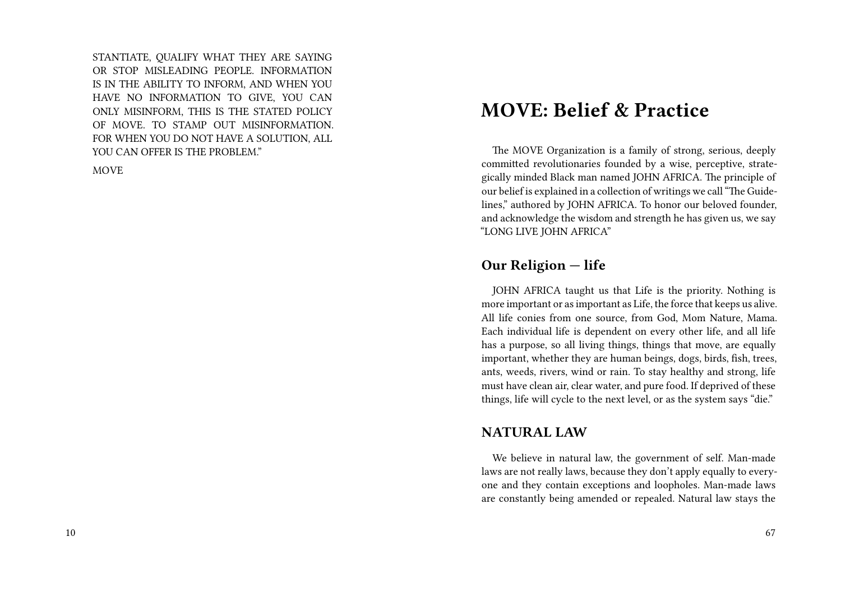STANTIATE, QUALIFY WHAT THEY ARE SAYING OR STOP MISLEADING PEOPLE. INFORMATION IS IN THE ABILITY TO INFORM, AND WHEN YOU HAVE NO INFORMATION TO GIVE, YOU CAN ONLY MISINFORM, THIS IS THE STATED POLICY OF MOVE. TO STAMP OUT MISINFORMATION. FOR WHEN YOU DO NOT HAVE A SOLUTION, ALL YOU CAN OFFER IS THE PROBLEM."

MOVE

### **MOVE: Belief & Practice**

The MOVE Organization is a family of strong, serious, deeply committed revolutionaries founded by a wise, perceptive, strategically minded Black man named JOHN AFRICA. The principle of our belief is explained in a collection of writings we call "The Guidelines," authored by JOHN AFRICA. To honor our beloved founder, and acknowledge the wisdom and strength he has given us, we say "LONG LIVE JOHN AFRICA"

#### **Our Religion — life**

JOHN AFRICA taught us that Life is the priority. Nothing is more important or as important as Life, the force that keeps us alive. All life conies from one source, from God, Mom Nature, Mama. Each individual life is dependent on every other life, and all life has a purpose, so all living things, things that move, are equally important, whether they are human beings, dogs, birds, fish, trees, ants, weeds, rivers, wind or rain. To stay healthy and strong, life must have clean air, clear water, and pure food. If deprived of these things, life will cycle to the next level, or as the system says "die."

#### **NATURAL LAW**

We believe in natural law, the government of self. Man-made laws are not really laws, because they don't apply equally to everyone and they contain exceptions and loopholes. Man-made laws are constantly being amended or repealed. Natural law stays the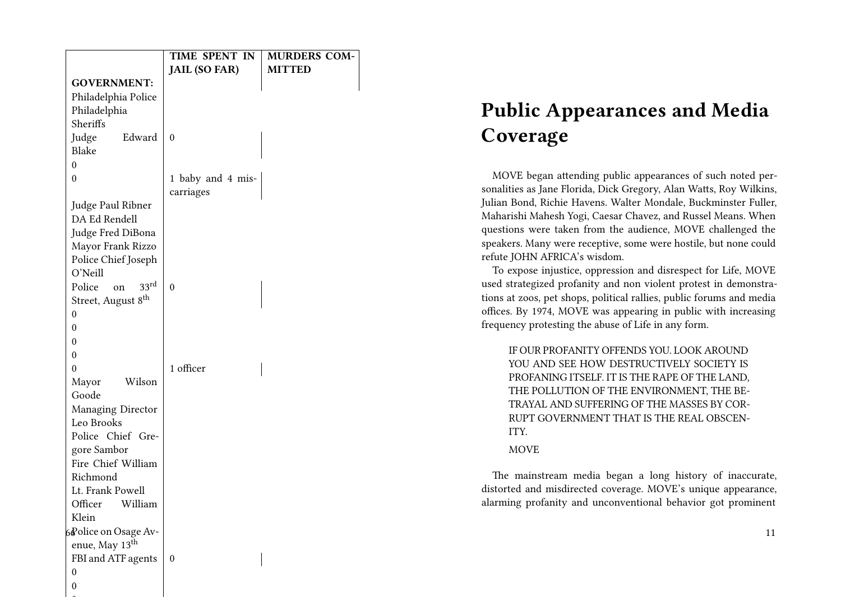|                                  | TIME SPENT IN<br><b>JAIL (SO FAR)</b> | <b>MURDERS COM-</b><br><b>MITTED</b> |
|----------------------------------|---------------------------------------|--------------------------------------|
| <b>GOVERNMENT:</b>               |                                       |                                      |
| Philadelphia Police              |                                       |                                      |
| Philadelphia                     |                                       |                                      |
| Sheriffs                         |                                       |                                      |
| Judge<br>Edward                  | $\mathbf{0}$                          |                                      |
| <b>Blake</b>                     |                                       |                                      |
| $\theta$                         |                                       |                                      |
| $\mathbf{0}$                     | 1 baby and 4 mis-                     |                                      |
|                                  | carriages                             |                                      |
| Judge Paul Ribner                |                                       |                                      |
| DA Ed Rendell                    |                                       |                                      |
| Judge Fred DiBona                |                                       |                                      |
| Mayor Frank Rizzo                |                                       |                                      |
| Police Chief Joseph              |                                       |                                      |
| O'Neill                          |                                       |                                      |
| 33 <sup>rd</sup><br>Police<br>on | $\theta$                              |                                      |
| Street, August 8 <sup>th</sup>   |                                       |                                      |
| $\theta$                         |                                       |                                      |
| 0                                |                                       |                                      |
| 0                                |                                       |                                      |
| 0                                | 1 officer                             |                                      |
| $\theta$<br>Wilson               |                                       |                                      |
| Mayor<br>Goode                   |                                       |                                      |
| Managing Director                |                                       |                                      |
| Leo Brooks                       |                                       |                                      |
| Police Chief Gre-                |                                       |                                      |
| gore Sambor                      |                                       |                                      |
| Fire Chief William               |                                       |                                      |
| Richmond                         |                                       |                                      |
| Lt. Frank Powell                 |                                       |                                      |
| William<br>Officer               |                                       |                                      |
| Klein                            |                                       |                                      |
| 6Police on Osage Av-             |                                       |                                      |
| enue, May 13 <sup>th</sup>       |                                       |                                      |
| FBI and ATF agents               | $\theta$                              |                                      |
| $\boldsymbol{0}$                 |                                       |                                      |
| $\boldsymbol{0}$                 |                                       |                                      |

0

# **Public Appearances and Media Coverage**

MOVE began attending public appearances of such noted personalities as Jane Florida, Dick Gregory, Alan Watts, Roy Wilkins, Julian Bond, Richie Havens. Walter Mondale, Buckminster Fuller, Maharishi Mahesh Yogi, Caesar Chavez, and Russel Means. When questions were taken from the audience, MOVE challenged the speakers. Many were receptive, some were hostile, but none could refute JOHN AFRICA's wisdom.

To expose injustice, oppression and disrespect for Life, MOVE used strategized profanity and non violent protest in demonstrations at zoos, pet shops, political rallies, public forums and media offices. By 1974, MOVE was appearing in public with increasing frequency protesting the abuse of Life in any form.

IF OUR PROFANITY OFFENDS YOU. LOOK AROUND YOU AND SEE HOW DESTRUCTIVELY SOCIETY IS PROFANING ITSELF. IT IS THE RAPE OF THE LAND, THE POLLUTION OF THE ENVIRONMENT, THE BE-TRAYAL AND SUFFERING OF THE MASSES BY COR-RUPT GOVERNMENT THAT IS THE REAL OBSCEN-ITY.

#### MOVE

The mainstream media began a long history of inaccurate, distorted and misdirected coverage. MOVE's unique appearance, alarming profanity and unconventional behavior got prominent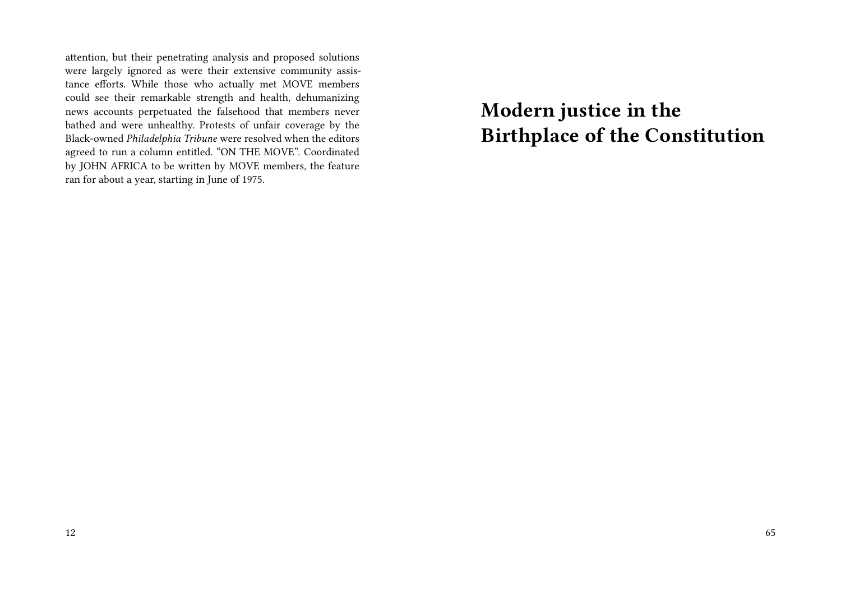attention, but their penetrating analysis and proposed solutions were largely ignored as were their extensive community assistance efforts. While those who actually met MOVE members could see their remarkable strength and health, dehumanizing news accounts perpetuated the falsehood that members never bathed and were unhealthy. Protests of unfair coverage by the Black-owned *Philadelphia Tribune* were resolved when the editors agreed to run a column entitled. "ON THE MOVE". Coordinated by JOHN AFRICA to be written by MOVE members, the feature ran for about a year, starting in June of 1975.

**Modern justice in the Birthplace of the Constitution**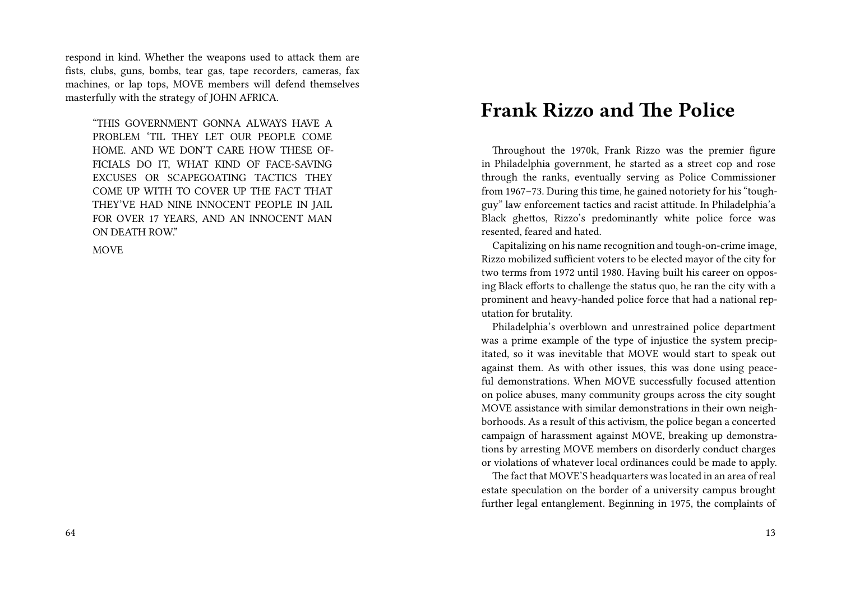respond in kind. Whether the weapons used to attack them are fists, clubs, guns, bombs, tear gas, tape recorders, cameras, fax machines, or lap tops, MOVE members will defend themselves masterfully with the strategy of JOHN AFRICA.

"THIS GOVERNMENT GONNA ALWAYS HAVE A PROBLEM 'TIL THEY LET OUR PEOPLE COME HOME. AND WE DON'T CARE HOW THESE OF-FICIALS DO IT, WHAT KIND OF FACE-SAVING EXCUSES OR SCAPEGOATING TACTICS THEY COME UP WITH TO COVER UP THE FACT THAT THEY'VE HAD NINE INNOCENT PEOPLE IN JAIL FOR OVER 17 YEARS, AND AN INNOCENT MAN ON DEATH ROW."

MOVE

### **Frank Rizzo and The Police**

Throughout the 1970k, Frank Rizzo was the premier figure in Philadelphia government, he started as a street cop and rose through the ranks, eventually serving as Police Commissioner from 1967–73. During this time, he gained notoriety for his "toughguy" law enforcement tactics and racist attitude. In Philadelphia'a Black ghettos, Rizzo's predominantly white police force was resented, feared and hated.

Capitalizing on his name recognition and tough-on-crime image, Rizzo mobilized sufficient voters to be elected mayor of the city for two terms from 1972 until 1980. Having built his career on opposing Black efforts to challenge the status quo, he ran the city with a prominent and heavy-handed police force that had a national reputation for brutality.

Philadelphia's overblown and unrestrained police department was a prime example of the type of injustice the system precipitated, so it was inevitable that MOVE would start to speak out against them. As with other issues, this was done using peaceful demonstrations. When MOVE successfully focused attention on police abuses, many community groups across the city sought MOVE assistance with similar demonstrations in their own neighborhoods. As a result of this activism, the police began a concerted campaign of harassment against MOVE, breaking up demonstrations by arresting MOVE members on disorderly conduct charges or violations of whatever local ordinances could be made to apply.

The fact that MOVE'S headquarters was located in an area of real estate speculation on the border of a university campus brought further legal entanglement. Beginning in 1975, the complaints of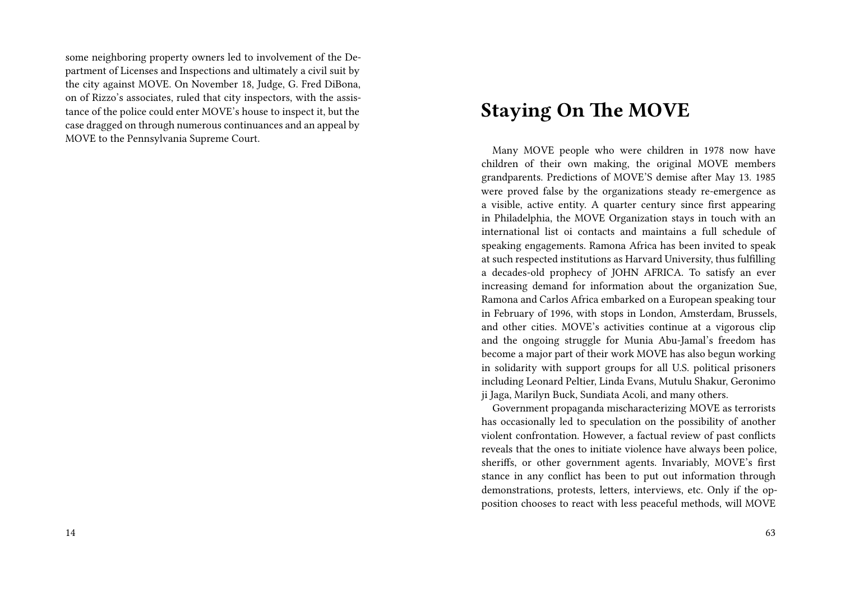some neighboring property owners led to involvement of the Department of Licenses and Inspections and ultimately a civil suit by the city against MOVE. On November 18, Judge, G. Fred DiBona, on of Rizzo's associates, ruled that city inspectors, with the assistance of the police could enter MOVE's house to inspect it, but the case dragged on through numerous continuances and an appeal by MOVE to the Pennsylvania Supreme Court.

### **Staying On The MOVE**

Many MOVE people who were children in 1978 now have children of their own making, the original MOVE members grandparents. Predictions of MOVE'S demise after May 13. 1985 were proved false by the organizations steady re-emergence as a visible, active entity. A quarter century since first appearing in Philadelphia, the MOVE Organization stays in touch with an international list oi contacts and maintains a full schedule of speaking engagements. Ramona Africa has been invited to speak at such respected institutions as Harvard University, thus fulfilling a decades-old prophecy of JOHN AFRICA. To satisfy an ever increasing demand for information about the organization Sue, Ramona and Carlos Africa embarked on a European speaking tour in February of 1996, with stops in London, Amsterdam, Brussels, and other cities. MOVE's activities continue at a vigorous clip and the ongoing struggle for Munia Abu-Jamal's freedom has become a major part of their work MOVE has also begun working in solidarity with support groups for all U.S. political prisoners including Leonard Peltier, Linda Evans, Mutulu Shakur, Geronimo ji Jaga, Marilyn Buck, Sundiata Acoli, and many others.

Government propaganda mischaracterizing MOVE as terrorists has occasionally led to speculation on the possibility of another violent confrontation. However, a factual review of past conflicts reveals that the ones to initiate violence have always been police, sheriffs, or other government agents. Invariably, MOVE's first stance in any conflict has been to put out information through demonstrations, protests, letters, interviews, etc. Only if the opposition chooses to react with less peaceful methods, will MOVE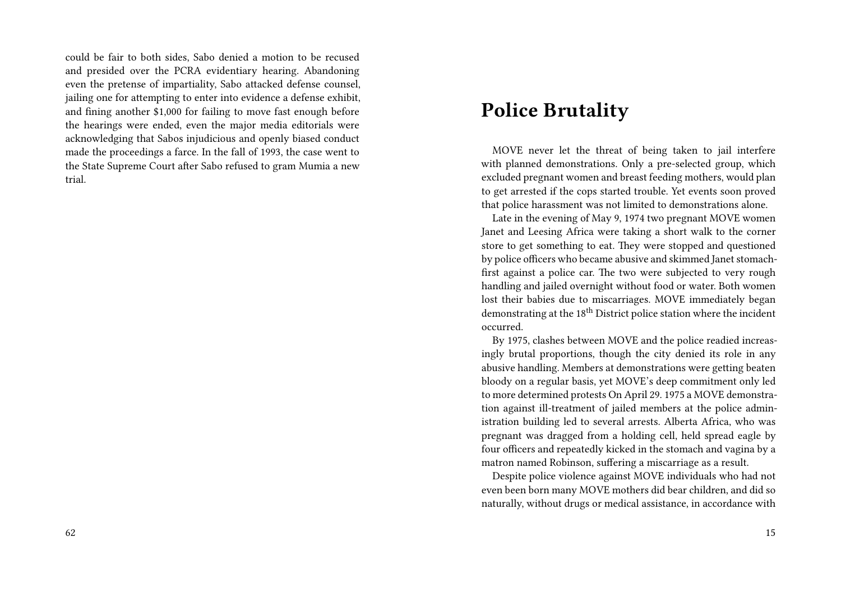could be fair to both sides, Sabo denied a motion to be recused and presided over the PCRA evidentiary hearing. Abandoning even the pretense of impartiality, Sabo attacked defense counsel, jailing one for attempting to enter into evidence a defense exhibit, and fining another \$1,000 for failing to move fast enough before the hearings were ended, even the major media editorials were acknowledging that Sabos injudicious and openly biased conduct made the proceedings a farce. In the fall of 1993, the case went to the State Supreme Court after Sabo refused to gram Mumia a new trial.

### **Police Brutality**

MOVE never let the threat of being taken to jail interfere with planned demonstrations. Only a pre-selected group, which excluded pregnant women and breast feeding mothers, would plan to get arrested if the cops started trouble. Yet events soon proved that police harassment was not limited to demonstrations alone.

Late in the evening of May 9, 1974 two pregnant MOVE women Janet and Leesing Africa were taking a short walk to the corner store to get something to eat. They were stopped and questioned by police officers who became abusive and skimmed Janet stomachfirst against a police car. The two were subjected to very rough handling and jailed overnight without food or water. Both women lost their babies due to miscarriages. MOVE immediately began demonstrating at the 18<sup>th</sup> District police station where the incident occurred.

By 1975, clashes between MOVE and the police readied increasingly brutal proportions, though the city denied its role in any abusive handling. Members at demonstrations were getting beaten bloody on a regular basis, yet MOVE's deep commitment only led to more determined protests On April 29. 1975 a MOVE demonstration against ill-treatment of jailed members at the police administration building led to several arrests. Alberta Africa, who was pregnant was dragged from a holding cell, held spread eagle by four officers and repeatedly kicked in the stomach and vagina by a matron named Robinson, suffering a miscarriage as a result.

Despite police violence against MOVE individuals who had not even been born many MOVE mothers did bear children, and did so naturally, without drugs or medical assistance, in accordance with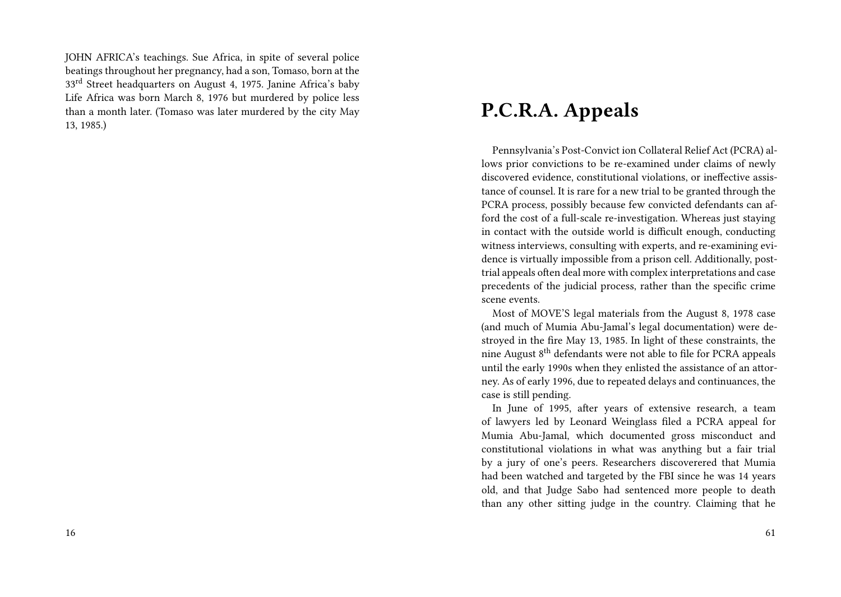JOHN AFRICA's teachings. Sue Africa, in spite of several police beatings throughout her pregnancy, had a son, Tomaso, born at the 33<sup>rd</sup> Street headquarters on August 4, 1975. Janine Africa's baby Life Africa was born March 8, 1976 but murdered by police less than a month later. (Tomaso was later murdered by the city May 13, 1985.)

### **P.C.R.A. Appeals**

Pennsylvania's Post-Convict ion Collateral Relief Act (PCRA) allows prior convictions to be re-examined under claims of newly discovered evidence, constitutional violations, or ineffective assistance of counsel. It is rare for a new trial to be granted through the PCRA process, possibly because few convicted defendants can afford the cost of a full-scale re-investigation. Whereas just staying in contact with the outside world is difficult enough, conducting witness interviews, consulting with experts, and re-examining evidence is virtually impossible from a prison cell. Additionally, posttrial appeals often deal more with complex interpretations and case precedents of the judicial process, rather than the specific crime scene events.

Most of MOVE'S legal materials from the August 8, 1978 case (and much of Mumia Abu-Jamal's legal documentation) were destroyed in the fire May 13, 1985. In light of these constraints, the nine August 8<sup>th</sup> defendants were not able to file for PCRA appeals until the early 1990s when they enlisted the assistance of an attorney. As of early 1996, due to repeated delays and continuances, the case is still pending.

In June of 1995, after years of extensive research, a team of lawyers led by Leonard Weinglass filed a PCRA appeal for Mumia Abu-Jamal, which documented gross misconduct and constitutional violations in what was anything but a fair trial by a jury of one's peers. Researchers discoverered that Mumia had been watched and targeted by the FBI since he was 14 years old, and that Judge Sabo had sentenced more people to death than any other sitting judge in the country. Claiming that he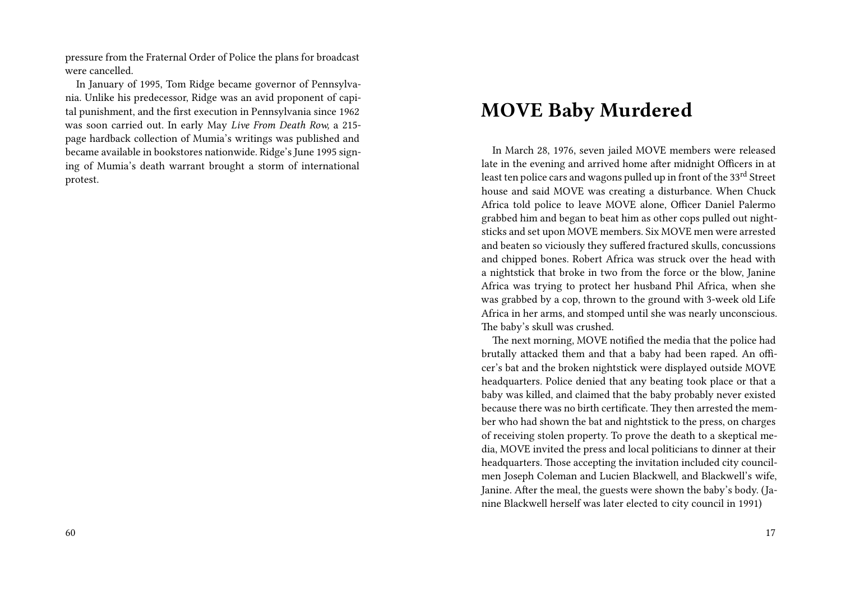pressure from the Fraternal Order of Police the plans for broadcast were cancelled.

In January of 1995, Tom Ridge became governor of Pennsylvania. Unlike his predecessor, Ridge was an avid proponent of capital punishment, and the first execution in Pennsylvania since 1962 was soon carried out. In early May *Live From Death Row,* a 215 page hardback collection of Mumia's writings was published and became available in bookstores nationwide. Ridge's June 1995 signing of Mumia's death warrant brought a storm of international protest.

# **MOVE Baby Murdered**

In March 28, 1976, seven jailed MOVE members were released late in the evening and arrived home after midnight Officers in at least ten police cars and wagons pulled up in front of the 33rd Street house and said MOVE was creating a disturbance. When Chuck Africa told police to leave MOVE alone, Officer Daniel Palermo grabbed him and began to beat him as other cops pulled out nightsticks and set upon MOVE members. Six MOVE men were arrested and beaten so viciously they suffered fractured skulls, concussions and chipped bones. Robert Africa was struck over the head with a nightstick that broke in two from the force or the blow, Janine Africa was trying to protect her husband Phil Africa, when she was grabbed by a cop, thrown to the ground with 3-week old Life Africa in her arms, and stomped until she was nearly unconscious. The baby's skull was crushed.

The next morning, MOVE notified the media that the police had brutally attacked them and that a baby had been raped. An officer's bat and the broken nightstick were displayed outside MOVE headquarters. Police denied that any beating took place or that a baby was killed, and claimed that the baby probably never existed because there was no birth certificate. They then arrested the member who had shown the bat and nightstick to the press, on charges of receiving stolen property. To prove the death to a skeptical media, MOVE invited the press and local politicians to dinner at their headquarters. Those accepting the invitation included city councilmen Joseph Coleman and Lucien Blackwell, and Blackwell's wife, Janine. After the meal, the guests were shown the baby's body. (Janine Blackwell herself was later elected to city council in 1991)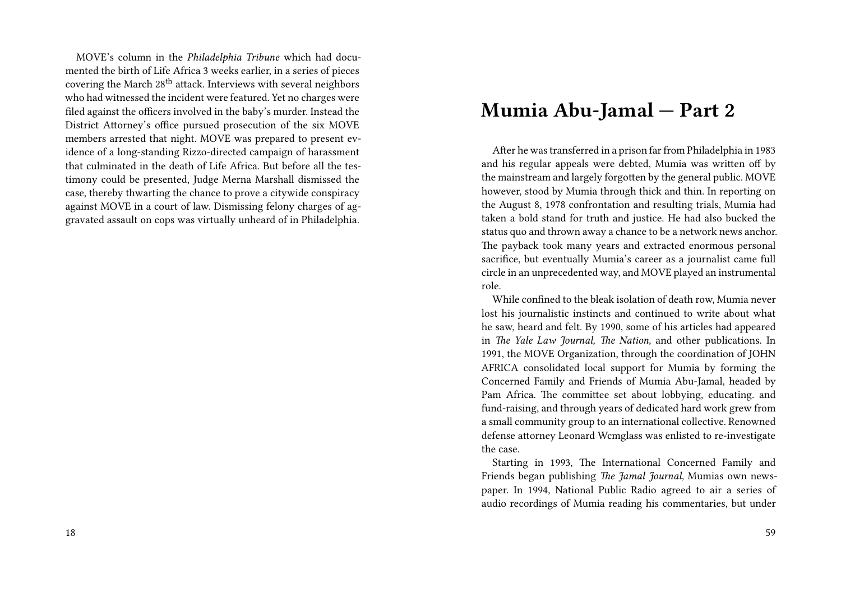MOVE's column in the *Philadelphia Tribune* which had documented the birth of Life Africa 3 weeks earlier, in a series of pieces covering the March 28<sup>th</sup> attack. Interviews with several neighbors who had witnessed the incident were featured. Yet no charges were filed against the officers involved in the baby's murder. Instead the District Attorney's office pursued prosecution of the six MOVE members arrested that night. MOVE was prepared to present evidence of a long-standing Rizzo-directed campaign of harassment that culminated in the death of Life Africa. But before all the testimony could be presented, Judge Merna Marshall dismissed the case, thereby thwarting the chance to prove a citywide conspiracy against MOVE in a court of law. Dismissing felony charges of aggravated assault on cops was virtually unheard of in Philadelphia.

### **Mumia Abu-Jamal — Part 2**

After he was transferred in a prison far from Philadelphia in 1983 and his regular appeals were debted, Mumia was written off by the mainstream and largely forgotten by the general public. MOVE however, stood by Mumia through thick and thin. In reporting on the August 8, 1978 confrontation and resulting trials, Mumia had taken a bold stand for truth and justice. He had also bucked the status quo and thrown away a chance to be a network news anchor. The payback took many years and extracted enormous personal sacrifice, but eventually Mumia's career as a journalist came full circle in an unprecedented way, and MOVE played an instrumental role.

While confined to the bleak isolation of death row, Mumia never lost his journalistic instincts and continued to write about what he saw, heard and felt. By 1990, some of his articles had appeared in *The Yale Law Journal, The Nation,* and other publications. In 1991, the MOVE Organization, through the coordination of JOHN AFRICA consolidated local support for Mumia by forming the Concerned Family and Friends of Mumia Abu-Jamal, headed by Pam Africa. The committee set about lobbying, educating. and fund-raising, and through years of dedicated hard work grew from a small community group to an international collective. Renowned defense attorney Leonard Wcmglass was enlisted to re-investigate the case.

Starting in 1993, The International Concerned Family and Friends began publishing *The Jamal Journal,* Mumias own newspaper. In 1994, National Public Radio agreed to air a series of audio recordings of Mumia reading his commentaries, but under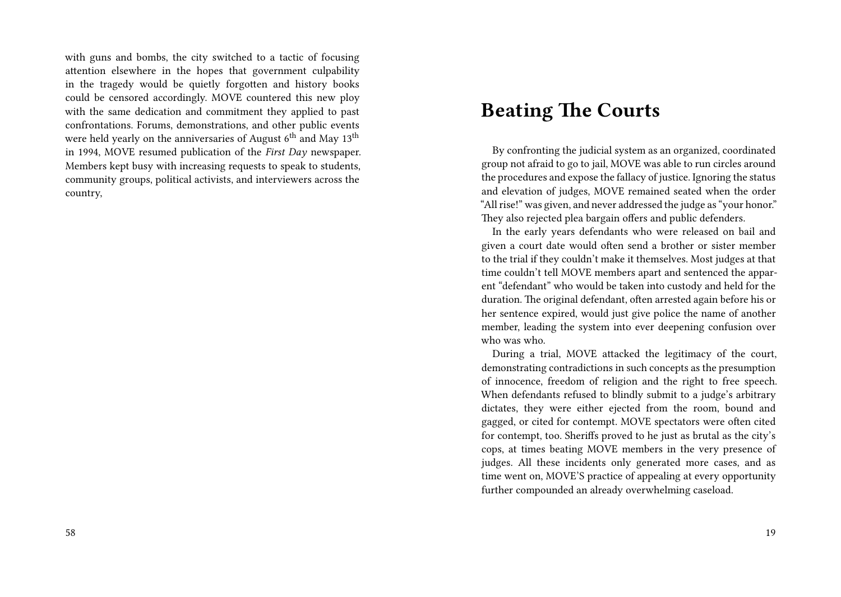with guns and bombs, the city switched to a tactic of focusing attention elsewhere in the hopes that government culpability in the tragedy would be quietly forgotten and history books could be censored accordingly. MOVE countered this new ploy with the same dedication and commitment they applied to past confrontations. Forums, demonstrations, and other public events were held yearly on the anniversaries of August  $6<sup>th</sup>$  and May 13<sup>th</sup> in 1994, MOVE resumed publication of the *First Day* newspaper. Members kept busy with increasing requests to speak to students, community groups, political activists, and interviewers across the country,

### **Beating The Courts**

By confronting the judicial system as an organized, coordinated group not afraid to go to jail, MOVE was able to run circles around the procedures and expose the fallacy of justice. Ignoring the status and elevation of judges, MOVE remained seated when the order "All rise!" was given, and never addressed the judge as "your honor." They also rejected plea bargain offers and public defenders.

In the early years defendants who were released on bail and given a court date would often send a brother or sister member to the trial if they couldn't make it themselves. Most judges at that time couldn't tell MOVE members apart and sentenced the apparent "defendant" who would be taken into custody and held for the duration. The original defendant, often arrested again before his or her sentence expired, would just give police the name of another member, leading the system into ever deepening confusion over who was who.

During a trial, MOVE attacked the legitimacy of the court, demonstrating contradictions in such concepts as the presumption of innocence, freedom of religion and the right to free speech. When defendants refused to blindly submit to a judge's arbitrary dictates, they were either ejected from the room, bound and gagged, or cited for contempt. MOVE spectators were often cited for contempt, too. Sheriffs proved to he just as brutal as the city's cops, at times beating MOVE members in the very presence of judges. All these incidents only generated more cases, and as time went on, MOVE'S practice of appealing at every opportunity further compounded an already overwhelming caseload.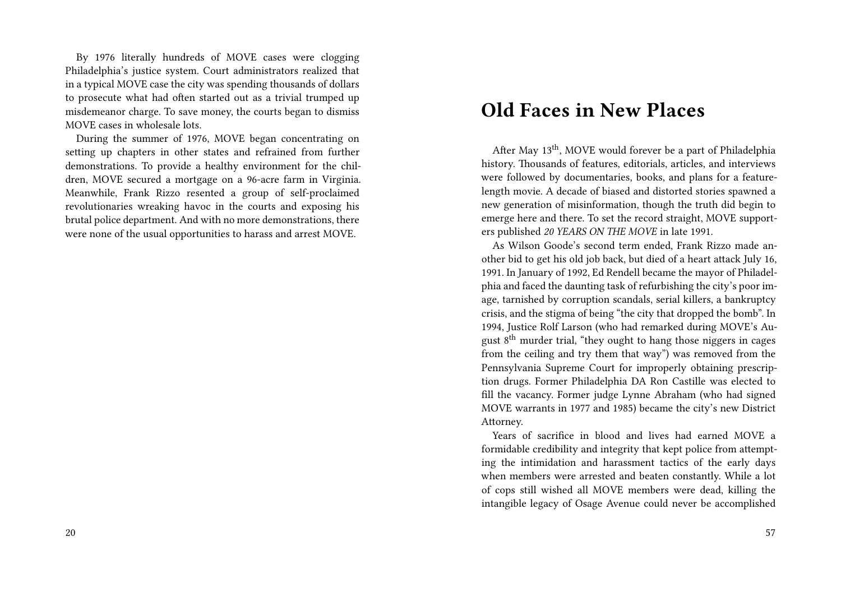By 1976 literally hundreds of MOVE cases were clogging Philadelphia's justice system. Court administrators realized that in a typical MOVE case the city was spending thousands of dollars to prosecute what had often started out as a trivial trumped up misdemeanor charge. To save money, the courts began to dismiss MOVE cases in wholesale lots.

During the summer of 1976, MOVE began concentrating on setting up chapters in other states and refrained from further demonstrations. To provide a healthy environment for the children, MOVE secured a mortgage on a 96-acre farm in Virginia. Meanwhile, Frank Rizzo resented a group of self-proclaimed revolutionaries wreaking havoc in the courts and exposing his brutal police department. And with no more demonstrations, there were none of the usual opportunities to harass and arrest MOVE.

#### **Old Faces in New Places**

After May 13<sup>th</sup>, MOVE would forever be a part of Philadelphia history. Thousands of features, editorials, articles, and interviews were followed by documentaries, books, and plans for a featurelength movie. A decade of biased and distorted stories spawned a new generation of misinformation, though the truth did begin to emerge here and there. To set the record straight, MOVE supporters published *20 YEARS ON THE MOVE* in late 1991.

As Wilson Goode's second term ended, Frank Rizzo made another bid to get his old job back, but died of a heart attack July 16, 1991. In January of 1992, Ed Rendell became the mayor of Philadelphia and faced the daunting task of refurbishing the city's poor image, tarnished by corruption scandals, serial killers, a bankruptcy crisis, and the stigma of being "the city that dropped the bomb". In 1994, Justice Rolf Larson (who had remarked during MOVE's August 8th murder trial, "they ought to hang those niggers in cages from the ceiling and try them that way") was removed from the Pennsylvania Supreme Court for improperly obtaining prescription drugs. Former Philadelphia DA Ron Castille was elected to fill the vacancy. Former judge Lynne Abraham (who had signed MOVE warrants in 1977 and 1985) became the city's new District Attorney.

Years of sacrifice in blood and lives had earned MOVE a formidable credibility and integrity that kept police from attempting the intimidation and harassment tactics of the early days when members were arrested and beaten constantly. While a lot of cops still wished all MOVE members were dead, killing the intangible legacy of Osage Avenue could never be accomplished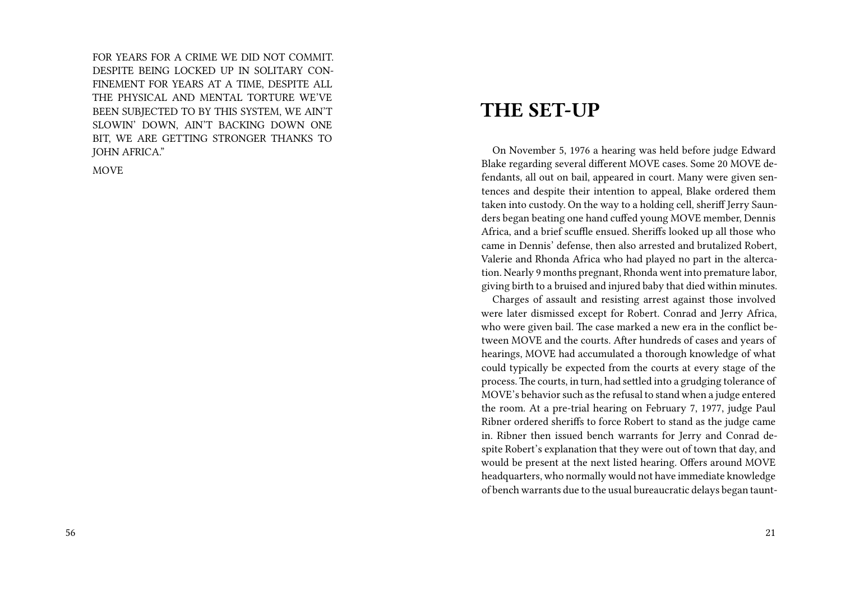FOR YEARS FOR A CRIME WE DID NOT COMMIT. DESPITE BEING LOCKED UP IN SOLITARY CON-FINEMENT FOR YEARS AT A TIME, DESPITE ALL THE PHYSICAL AND MENTAL TORTURE WE'VE BEEN SUBJECTED TO BY THIS SYSTEM, WE AIN'T SLOWIN' DOWN, AIN'T BACKING DOWN ONE BIT, WE ARE GETTING STRONGER THANKS TO JOHN AFRICA."

**MOVE** 

#### **THE SET-UP**

On November 5, 1976 a hearing was held before judge Edward Blake regarding several different MOVE cases. Some 20 MOVE defendants, all out on bail, appeared in court. Many were given sentences and despite their intention to appeal, Blake ordered them taken into custody. On the way to a holding cell, sheriff Jerry Saunders began beating one hand cuffed young MOVE member, Dennis Africa, and a brief scuffle ensued. Sheriffs looked up all those who came in Dennis' defense, then also arrested and brutalized Robert, Valerie and Rhonda Africa who had played no part in the altercation. Nearly 9 months pregnant, Rhonda went into premature labor, giving birth to a bruised and injured baby that died within minutes.

Charges of assault and resisting arrest against those involved were later dismissed except for Robert. Conrad and Jerry Africa, who were given bail. The case marked a new era in the conflict between MOVE and the courts. After hundreds of cases and years of hearings, MOVE had accumulated a thorough knowledge of what could typically be expected from the courts at every stage of the process. The courts, in turn, had settled into a grudging tolerance of MOVE's behavior such as the refusal to stand when a judge entered the room. At a pre-trial hearing on February 7, 1977, judge Paul Ribner ordered sheriffs to force Robert to stand as the judge came in. Ribner then issued bench warrants for Jerry and Conrad despite Robert's explanation that they were out of town that day, and would be present at the next listed hearing. Offers around MOVE headquarters, who normally would not have immediate knowledge of bench warrants due to the usual bureaucratic delays began taunt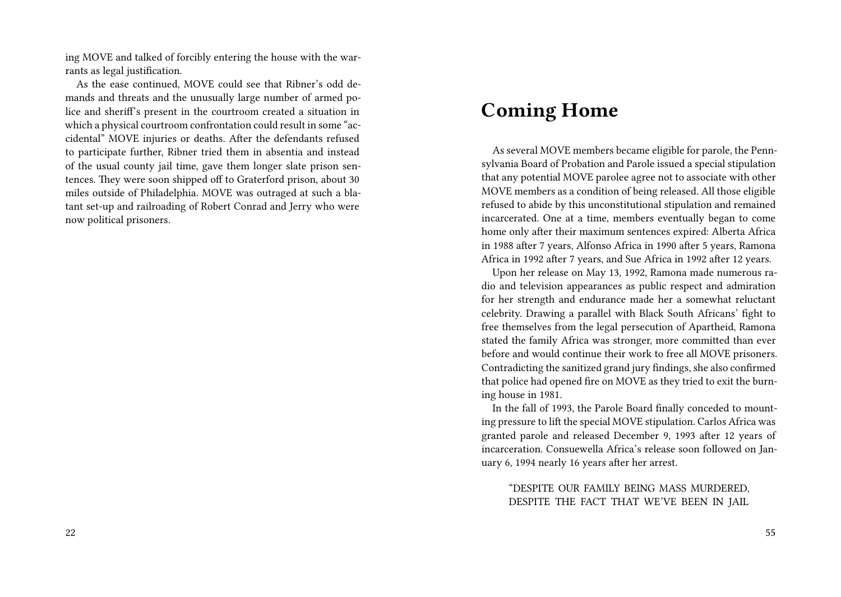ing MOVE and talked of forcibly entering the house with the warrants as legal justification.

As the ease continued, MOVE could see that Ribner's odd demands and threats and the unusually large number of armed police and sheriff's present in the courtroom created a situation in which a physical courtroom confrontation could result in some "accidental" MOVE injuries or deaths. After the defendants refused to participate further, Ribner tried them in absentia and instead of the usual county jail time, gave them longer slate prison sentences. They were soon shipped off to Graterford prison, about 30 miles outside of Philadelphia. MOVE was outraged at such a blatant set-up and railroading of Robert Conrad and Jerry who were now political prisoners.

### **Coming Home**

As several MOVE members became eligible for parole, the Pennsylvania Board of Probation and Parole issued a special stipulation that any potential MOVE parolee agree not to associate with other MOVE members as a condition of being released. All those eligible refused to abide by this unconstitutional stipulation and remained incarcerated. One at a time, members eventually began to come home only after their maximum sentences expired: Alberta Africa in 1988 after 7 years, Alfonso Africa in 1990 after 5 years, Ramona Africa in 1992 after 7 years, and Sue Africa in 1992 after 12 years.

Upon her release on May 13, 1992, Ramona made numerous radio and television appearances as public respect and admiration for her strength and endurance made her a somewhat reluctant celebrity. Drawing a parallel with Black South Africans' fight to free themselves from the legal persecution of Apartheid, Ramona stated the family Africa was stronger, more committed than ever before and would continue their work to free all MOVE prisoners. Contradicting the sanitized grand jury findings, she also confirmed that police had opened fire on MOVE as they tried to exit the burning house in 1981.

In the fall of 1993, the Parole Board finally conceded to mounting pressure to lift the special MOVE stipulation. Carlos Africa was granted parole and released December 9, 1993 after 12 years of incarceration. Consuewella Africa's release soon followed on January 6, 1994 nearly 16 years after her arrest.

"DESPITE OUR FAMILY BEING MASS MURDERED, DESPITE THE FACT THAT WE'VE BEEN IN JAIL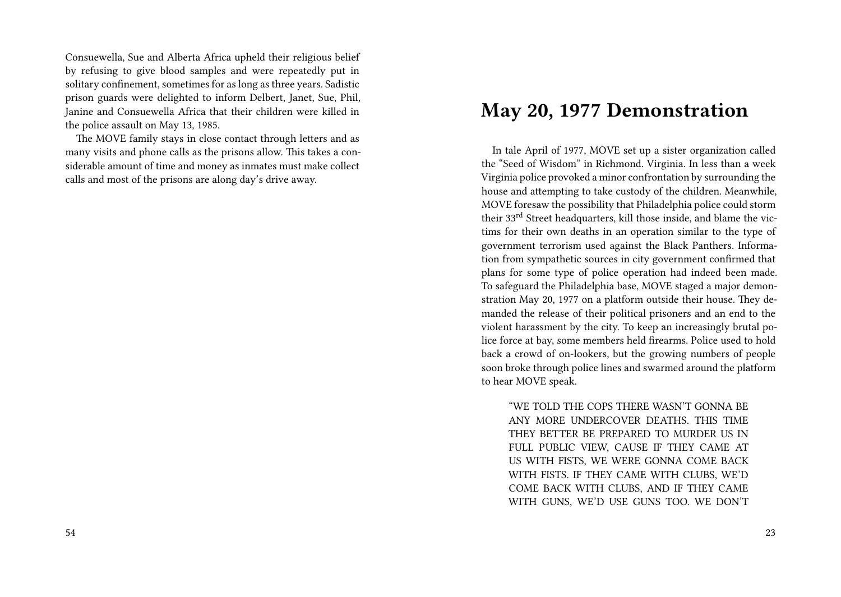Consuewella, Sue and Alberta Africa upheld their religious belief by refusing to give blood samples and were repeatedly put in solitary confinement, sometimes for as long as three years. Sadistic prison guards were delighted to inform Delbert, Janet, Sue, Phil, Janine and Consuewella Africa that their children were killed in the police assault on May 13, 1985.

The MOVE family stays in close contact through letters and as many visits and phone calls as the prisons allow. This takes a considerable amount of time and money as inmates must make collect calls and most of the prisons are along day's drive away.

### **May 20, 1977 Demonstration**

In tale April of 1977, MOVE set up a sister organization called the "Seed of Wisdom" in Richmond. Virginia. In less than a week Virginia police provoked a minor confrontation by surrounding the house and attempting to take custody of the children. Meanwhile, MOVE foresaw the possibility that Philadelphia police could storm their 33<sup>rd</sup> Street headquarters, kill those inside, and blame the victims for their own deaths in an operation similar to the type of government terrorism used against the Black Panthers. Information from sympathetic sources in city government confirmed that plans for some type of police operation had indeed been made. To safeguard the Philadelphia base, MOVE staged a major demonstration May 20, 1977 on a platform outside their house. They demanded the release of their political prisoners and an end to the violent harassment by the city. To keep an increasingly brutal police force at bay, some members held firearms. Police used to hold back a crowd of on-lookers, but the growing numbers of people soon broke through police lines and swarmed around the platform to hear MOVE speak.

"WE TOLD THE COPS THERE WASN'T GONNA BE ANY MORE UNDERCOVER DEATHS. THIS TIME THEY BETTER BE PREPARED TO MURDER US IN FULL PUBLIC VIEW, CAUSE IF THEY CAME AT US WITH FISTS, WE WERE GONNA COME BACK WITH FISTS. IF THEY CAME WITH CLUBS, WE'D COME BACK WITH CLUBS, AND IF THEY CAME WITH GUNS, WE'D USE GUNS TOO. WE DON'T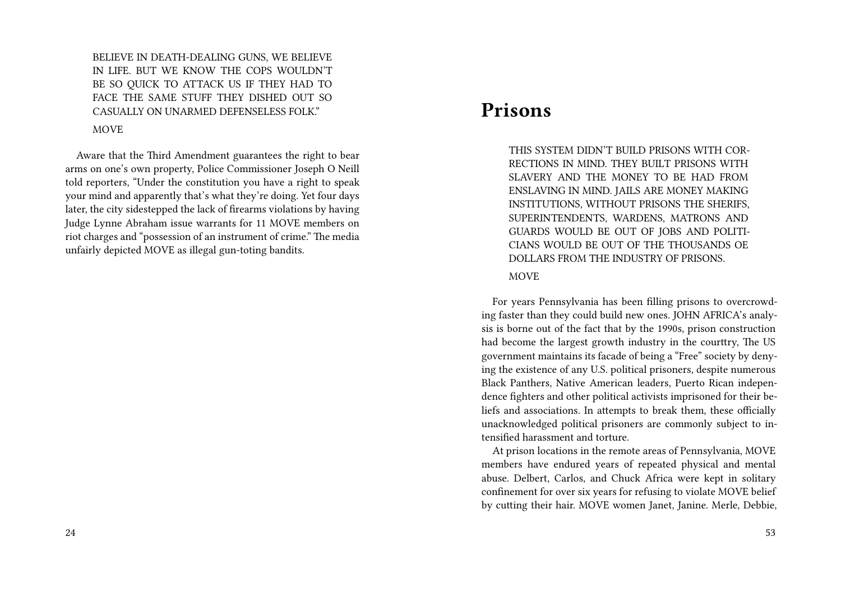BELIEVE IN DEATH-DEALING GUNS, WE BELIEVE IN LIFE. BUT WE KNOW THE COPS WOULDN'T BE SO QUICK TO ATTACK US IF THEY HAD TO FACE THE SAME STUFF THEY DISHED OUT SO CASUALLY ON UNARMED DEFENSELESS FOLK."

MOVE

Aware that the Third Amendment guarantees the right to bear arms on one's own property, Police Commissioner Joseph O Neill told reporters, "Under the constitution you have a right to speak your mind and apparently that's what they're doing. Yet four days later, the city sidestepped the lack of firearms violations by having Judge Lynne Abraham issue warrants for 11 MOVE members on riot charges and "possession of an instrument of crime." The media unfairly depicted MOVE as illegal gun-toting bandits.

#### **Prisons**

THIS SYSTEM DIDN'T BUILD PRISONS WITH COR-RECTIONS IN MIND. THEY BUILT PRISONS WITH SLAVERY AND THE MONEY TO BE HAD FROM ENSLAVING IN MIND. JAILS ARE MONEY MAKING INSTITUTIONS, WITHOUT PRISONS THE SHERIFS, SUPERINTENDENTS, WARDENS, MATRONS AND GUARDS WOULD BE OUT OF JOBS AND POLITI-CIANS WOULD BE OUT OF THE THOUSANDS OE DOLLARS FROM THE INDUSTRY OF PRISONS.

#### MOVE

For years Pennsylvania has been filling prisons to overcrowding faster than they could build new ones. JOHN AFRICA's analysis is borne out of the fact that by the 1990s, prison construction had become the largest growth industry in the courttry, The US government maintains its facade of being a "Free" society by denying the existence of any U.S. political prisoners, despite numerous Black Panthers, Native American leaders, Puerto Rican independence fighters and other political activists imprisoned for their beliefs and associations. In attempts to break them, these officially unacknowledged political prisoners are commonly subject to intensified harassment and torture.

At prison locations in the remote areas of Pennsylvania, MOVE members have endured years of repeated physical and mental abuse. Delbert, Carlos, and Chuck Africa were kept in solitary confinement for over six years for refusing to violate MOVE belief by cutting their hair. MOVE women Janet, Janine. Merle, Debbie,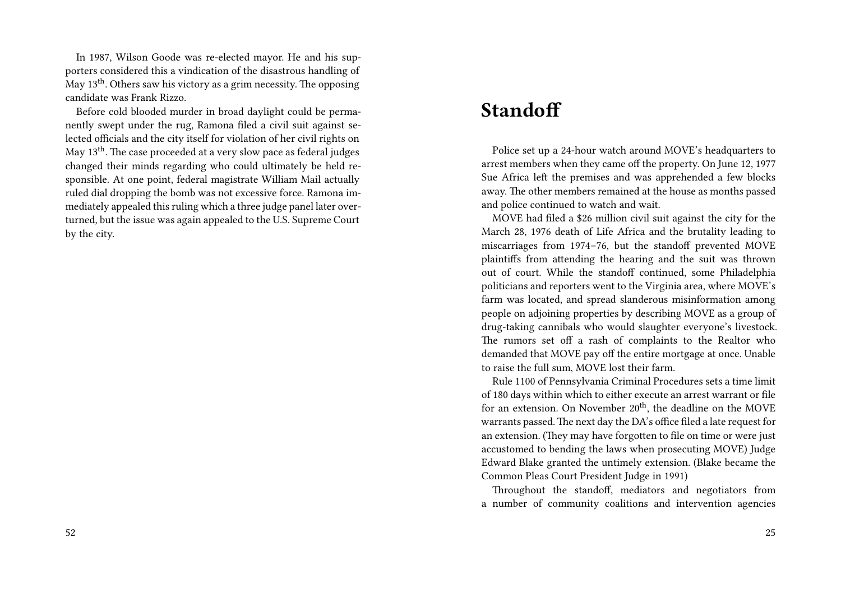In 1987, Wilson Goode was re-elected mayor. He and his supporters considered this a vindication of the disastrous handling of May  $13<sup>th</sup>$ . Others saw his victory as a grim necessity. The opposing candidate was Frank Rizzo.

Before cold blooded murder in broad daylight could be permanently swept under the rug, Ramona filed a civil suit against selected officials and the city itself for violation of her civil rights on May 13<sup>th</sup>. The case proceeded at a very slow pace as federal judges changed their minds regarding who could ultimately be held responsible. At one point, federal magistrate William Mail actually ruled dial dropping the bomb was not excessive force. Ramona immediately appealed this ruling which a three judge panel later overturned, but the issue was again appealed to the U.S. Supreme Court by the city.

#### **Standoff**

Police set up a 24-hour watch around MOVE's headquarters to arrest members when they came off the property. On June 12, 1977 Sue Africa left the premises and was apprehended a few blocks away. The other members remained at the house as months passed and police continued to watch and wait.

MOVE had filed a \$26 million civil suit against the city for the March 28, 1976 death of Life Africa and the brutality leading to miscarriages from 1974–76, but the standoff prevented MOVE plaintiffs from attending the hearing and the suit was thrown out of court. While the standoff continued, some Philadelphia politicians and reporters went to the Virginia area, where MOVE's farm was located, and spread slanderous misinformation among people on adjoining properties by describing MOVE as a group of drug-taking cannibals who would slaughter everyone's livestock. The rumors set off a rash of complaints to the Realtor who demanded that MOVE pay off the entire mortgage at once. Unable to raise the full sum, MOVE lost their farm.

Rule 1100 of Pennsylvania Criminal Procedures sets a time limit of 180 days within which to either execute an arrest warrant or file for an extension. On November 20<sup>th</sup>, the deadline on the MOVE warrants passed. The next day the DA's office filed a late request for an extension. (They may have forgotten to file on time or were just accustomed to bending the laws when prosecuting MOVE) Judge Edward Blake granted the untimely extension. (Blake became the Common Pleas Court President Judge in 1991)

Throughout the standoff, mediators and negotiators from a number of community coalitions and intervention agencies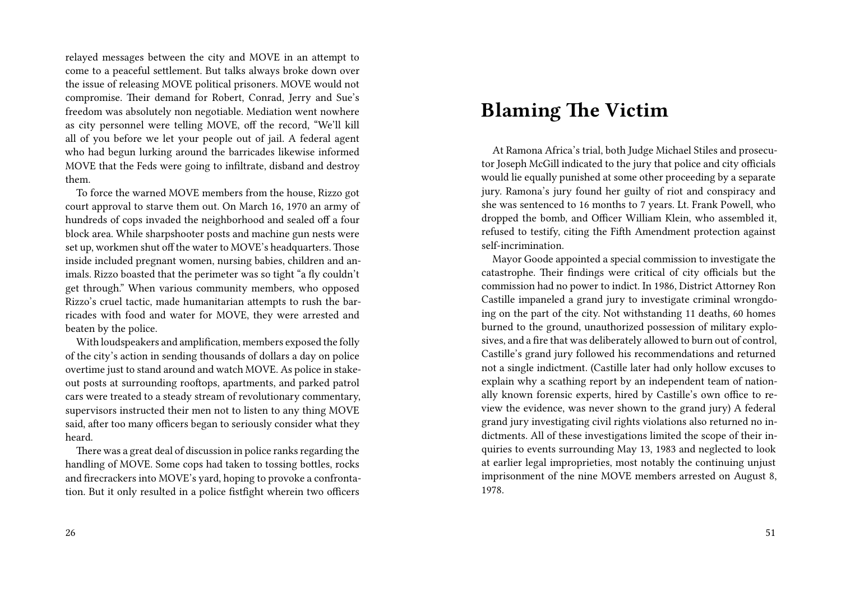relayed messages between the city and MOVE in an attempt to come to a peaceful settlement. But talks always broke down over the issue of releasing MOVE political prisoners. MOVE would not compromise. Their demand for Robert, Conrad, Jerry and Sue's freedom was absolutely non negotiable. Mediation went nowhere as city personnel were telling MOVE, off the record, "We'll kill all of you before we let your people out of jail. A federal agent who had begun lurking around the barricades likewise informed MOVE that the Feds were going to infiltrate, disband and destroy them.

To force the warned MOVE members from the house, Rizzo got court approval to starve them out. On March 16, 1970 an army of hundreds of cops invaded the neighborhood and sealed off a four block area. While sharpshooter posts and machine gun nests were set up, workmen shut off the water to MOVE's headquarters. Those inside included pregnant women, nursing babies, children and animals. Rizzo boasted that the perimeter was so tight "a fly couldn't get through." When various community members, who opposed Rizzo's cruel tactic, made humanitarian attempts to rush the barricades with food and water for MOVE, they were arrested and beaten by the police.

With loudspeakers and amplification, members exposed the folly of the city's action in sending thousands of dollars a day on police overtime just to stand around and watch MOVE. As police in stakeout posts at surrounding rooftops, apartments, and parked patrol cars were treated to a steady stream of revolutionary commentary, supervisors instructed their men not to listen to any thing MOVE said, after too many officers began to seriously consider what they heard.

There was a great deal of discussion in police ranks regarding the handling of MOVE. Some cops had taken to tossing bottles, rocks and firecrackers into MOVE's yard, hoping to provoke a confrontation. But it only resulted in a police fistfight wherein two officers

#### 26

### **Blaming The Victim**

At Ramona Africa's trial, both Judge Michael Stiles and prosecutor Joseph McGill indicated to the jury that police and city officials would lie equally punished at some other proceeding by a separate jury. Ramona's jury found her guilty of riot and conspiracy and she was sentenced to 16 months to 7 years. Lt. Frank Powell, who dropped the bomb, and Officer William Klein, who assembled it, refused to testify, citing the Fifth Amendment protection against self-incrimination.

Mayor Goode appointed a special commission to investigate the catastrophe. Their findings were critical of city officials but the commission had no power to indict. In 1986, District Attorney Ron Castille impaneled a grand jury to investigate criminal wrongdoing on the part of the city. Not withstanding 11 deaths, 60 homes burned to the ground, unauthorized possession of military explosives, and a fire that was deliberately allowed to burn out of control, Castille's grand jury followed his recommendations and returned not a single indictment. (Castille later had only hollow excuses to explain why a scathing report by an independent team of nationally known forensic experts, hired by Castille's own office to review the evidence, was never shown to the grand jury) A federal grand jury investigating civil rights violations also returned no indictments. All of these investigations limited the scope of their inquiries to events surrounding May 13, 1983 and neglected to look at earlier legal improprieties, most notably the continuing unjust imprisonment of the nine MOVE members arrested on August 8, 1978.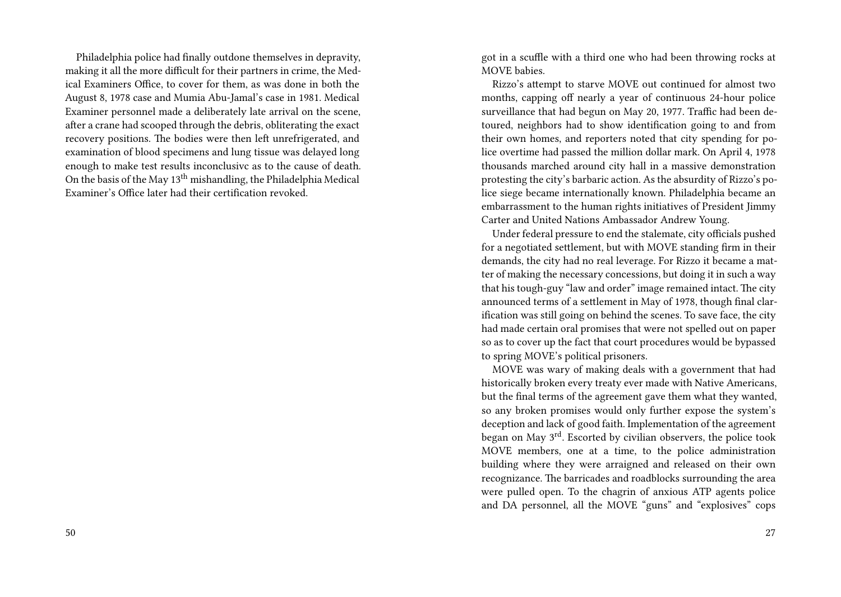Philadelphia police had finally outdone themselves in depravity, making it all the more difficult for their partners in crime, the Medical Examiners Office, to cover for them, as was done in both the August 8, 1978 case and Mumia Abu-Jamal's case in 1981. Medical Examiner personnel made a deliberately late arrival on the scene, after a crane had scooped through the debris, obliterating the exact recovery positions. The bodies were then left unrefrigerated, and examination of blood specimens and lung tissue was delayed long enough to make test results inconclusivc as to the cause of death. On the basis of the May 13<sup>th</sup> mishandling, the Philadelphia Medical Examiner's Office later had their certification revoked.

got in a scuffle with a third one who had been throwing rocks at MOVE babies.

Rizzo's attempt to starve MOVE out continued for almost two months, capping off nearly a year of continuous 24-hour police surveillance that had begun on May 20, 1977. Traffic had been detoured, neighbors had to show identification going to and from their own homes, and reporters noted that city spending for police overtime had passed the million dollar mark. On April 4, 1978 thousands marched around city hall in a massive demonstration protesting the city's barbaric action. As the absurdity of Rizzo's police siege became internationally known. Philadelphia became an embarrassment to the human rights initiatives of President Jimmy Carter and United Nations Ambassador Andrew Young.

Under federal pressure to end the stalemate, city officials pushed for a negotiated settlement, but with MOVE standing firm in their demands, the city had no real leverage. For Rizzo it became a matter of making the necessary concessions, but doing it in such a way that his tough-guy "law and order" image remained intact. The city announced terms of a settlement in May of 1978, though final clarification was still going on behind the scenes. To save face, the city had made certain oral promises that were not spelled out on paper so as to cover up the fact that court procedures would be bypassed to spring MOVE's political prisoners.

MOVE was wary of making deals with a government that had historically broken every treaty ever made with Native Americans, but the final terms of the agreement gave them what they wanted, so any broken promises would only further expose the system's deception and lack of good faith. Implementation of the agreement began on May 3rd. Escorted by civilian observers, the police took MOVE members, one at a time, to the police administration building where they were arraigned and released on their own recognizance. The barricades and roadblocks surrounding the area were pulled open. To the chagrin of anxious ATP agents police and DA personnel, all the MOVE "guns" and "explosives" cops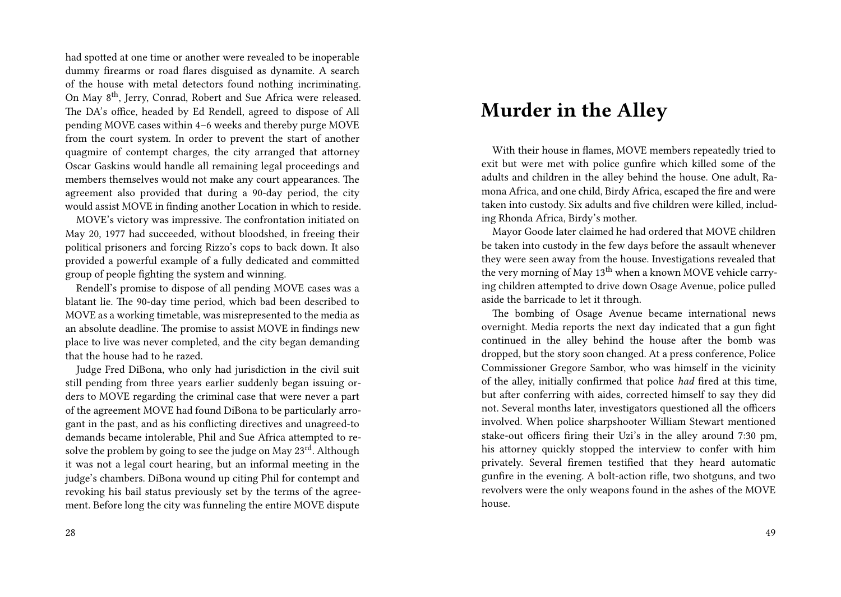had spotted at one time or another were revealed to be inoperable dummy firearms or road flares disguised as dynamite. A search of the house with metal detectors found nothing incriminating. On May 8th, Jerry, Conrad, Robert and Sue Africa were released. The DA's office, headed by Ed Rendell, agreed to dispose of All pending MOVE cases within 4–6 weeks and thereby purge MOVE from the court system. In order to prevent the start of another quagmire of contempt charges, the city arranged that attorney Oscar Gaskins would handle all remaining legal proceedings and members themselves would not make any court appearances. The agreement also provided that during a 90-day period, the city would assist MOVE in finding another Location in which to reside.

MOVE's victory was impressive. The confrontation initiated on May 20, 1977 had succeeded, without bloodshed, in freeing their political prisoners and forcing Rizzo's cops to back down. It also provided a powerful example of a fully dedicated and committed group of people fighting the system and winning.

Rendell's promise to dispose of all pending MOVE cases was a blatant lie. The 90-day time period, which bad been described to MOVE as a working timetable, was misrepresented to the media as an absolute deadline. The promise to assist MOVE in findings new place to live was never completed, and the city began demanding that the house had to he razed.

Judge Fred DiBona, who only had jurisdiction in the civil suit still pending from three years earlier suddenly began issuing orders to MOVE regarding the criminal case that were never a part of the agreement MOVE had found DiBona to be particularly arrogant in the past, and as his conflicting directives and unagreed-to demands became intolerable, Phil and Sue Africa attempted to resolve the problem by going to see the judge on May 23<sup>rd</sup>. Although it was not a legal court hearing, but an informal meeting in the judge's chambers. DiBona wound up citing Phil for contempt and revoking his bail status previously set by the terms of the agreement. Before long the city was funneling the entire MOVE dispute

### **Murder in the Alley**

With their house in flames, MOVE members repeatedly tried to exit but were met with police gunfire which killed some of the adults and children in the alley behind the house. One adult, Ramona Africa, and one child, Birdy Africa, escaped the fire and were taken into custody. Six adults and five children were killed, including Rhonda Africa, Birdy's mother.

Mayor Goode later claimed he had ordered that MOVE children be taken into custody in the few days before the assault whenever they were seen away from the house. Investigations revealed that the very morning of May 13<sup>th</sup> when a known MOVE vehicle carrying children attempted to drive down Osage Avenue, police pulled aside the barricade to let it through.

The bombing of Osage Avenue became international news overnight. Media reports the next day indicated that a gun fight continued in the alley behind the house after the bomb was dropped, but the story soon changed. At a press conference, Police Commissioner Gregore Sambor, who was himself in the vicinity of the alley, initially confirmed that police *had* fired at this time, but after conferring with aides, corrected himself to say they did not. Several months later, investigators questioned all the officers involved. When police sharpshooter William Stewart mentioned stake-out officers firing their Uzi's in the alley around 7:30 pm, his attorney quickly stopped the interview to confer with him privately. Several firemen testified that they heard automatic gunfire in the evening. A bolt-action rifle, two shotguns, and two revolvers were the only weapons found in the ashes of the MOVE house.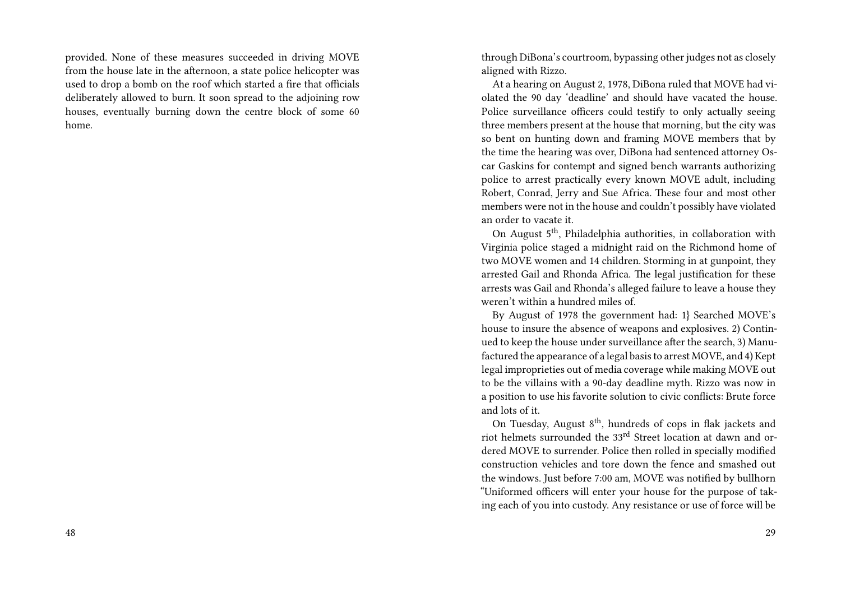provided. None of these measures succeeded in driving MOVE from the house late in the afternoon, a state police helicopter was used to drop a bomb on the roof which started a fire that officials deliberately allowed to burn. It soon spread to the adjoining row houses, eventually burning down the centre block of some 60 home.

through DiBona's courtroom, bypassing other judges not as closely aligned with Rizzo.

At a hearing on August 2, 1978, DiBona ruled that MOVE had violated the 90 day 'deadline' and should have vacated the house. Police surveillance officers could testify to only actually seeing three members present at the house that morning, but the city was so bent on hunting down and framing MOVE members that by the time the hearing was over, DiBona had sentenced attorney Oscar Gaskins for contempt and signed bench warrants authorizing police to arrest practically every known MOVE adult, including Robert, Conrad, Jerry and Sue Africa. These four and most other members were not in the house and couldn't possibly have violated an order to vacate it.

On August 5<sup>th</sup>, Philadelphia authorities, in collaboration with Virginia police staged a midnight raid on the Richmond home of two MOVE women and 14 children. Storming in at gunpoint, they arrested Gail and Rhonda Africa. The legal justification for these arrests was Gail and Rhonda's alleged failure to leave a house they weren't within a hundred miles of.

By August of 1978 the government had: 1} Searched MOVE's house to insure the absence of weapons and explosives. 2) Continued to keep the house under surveillance after the search, 3) Manufactured the appearance of a legal basis to arrest MOVE, and 4) Kept legal improprieties out of media coverage while making MOVE out to be the villains with a 90-day deadline myth. Rizzo was now in a position to use his favorite solution to civic conflicts: Brute force and lots of it.

On Tuesday, August 8<sup>th</sup>, hundreds of cops in flak jackets and riot helmets surrounded the 33rd Street location at dawn and ordered MOVE to surrender. Police then rolled in specially modified construction vehicles and tore down the fence and smashed out the windows. Just before 7:00 am, MOVE was notified by bullhorn "Uniformed officers will enter your house for the purpose of taking each of you into custody. Any resistance or use of force will be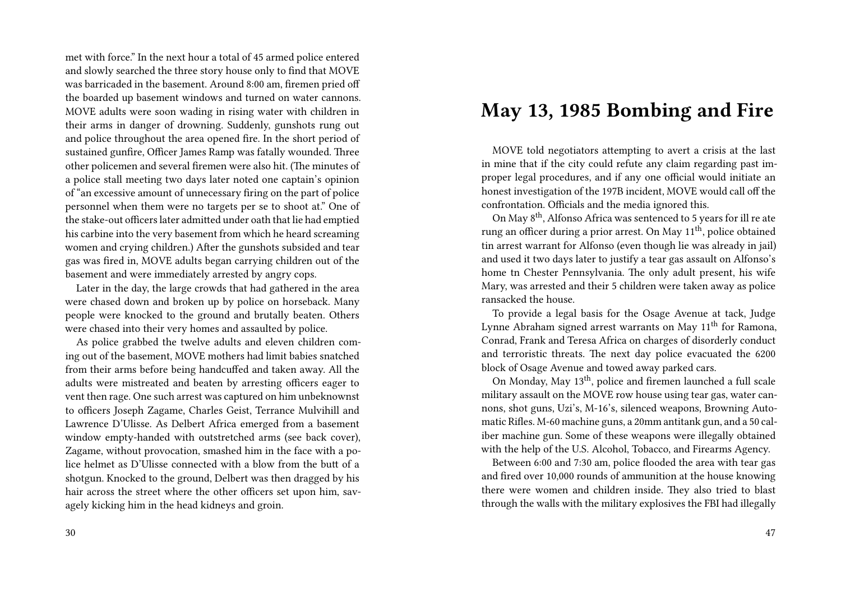met with force." In the next hour a total of 45 armed police entered and slowly searched the three story house only to find that MOVE was barricaded in the basement. Around 8:00 am, firemen pried off the boarded up basement windows and turned on water cannons. MOVE adults were soon wading in rising water with children in their arms in danger of drowning. Suddenly, gunshots rung out and police throughout the area opened fire. In the short period of sustained gunfire, Officer James Ramp was fatally wounded. Three other policemen and several firemen were also hit. (The minutes of a police stall meeting two days later noted one captain's opinion of "an excessive amount of unnecessary firing on the part of police personnel when them were no targets per se to shoot at." One of the stake-out officers later admitted under oath that lie had emptied his carbine into the very basement from which he heard screaming women and crying children.) After the gunshots subsided and tear gas was fired in, MOVE adults began carrying children out of the basement and were immediately arrested by angry cops.

Later in the day, the large crowds that had gathered in the area were chased down and broken up by police on horseback. Many people were knocked to the ground and brutally beaten. Others were chased into their very homes and assaulted by police.

As police grabbed the twelve adults and eleven children coming out of the basement, MOVE mothers had limit babies snatched from their arms before being handcuffed and taken away. All the adults were mistreated and beaten by arresting officers eager to vent then rage. One such arrest was captured on him unbeknownst to officers Joseph Zagame, Charles Geist, Terrance Mulvihill and Lawrence D'Ulisse. As Delbert Africa emerged from a basement window empty-handed with outstretched arms (see back cover), Zagame, without provocation, smashed him in the face with a police helmet as D'Ulisse connected with a blow from the butt of a shotgun. Knocked to the ground, Delbert was then dragged by his hair across the street where the other officers set upon him, savagely kicking him in the head kidneys and groin.

# **May 13, 1985 Bombing and Fire**

MOVE told negotiators attempting to avert a crisis at the last in mine that if the city could refute any claim regarding past improper legal procedures, and if any one official would initiate an honest investigation of the 197B incident, MOVE would call off the confrontation. Officials and the media ignored this.

On May 8th, Alfonso Africa was sentenced to 5 years for ill re ate rung an officer during a prior arrest. On May 11<sup>th</sup>, police obtained tin arrest warrant for Alfonso (even though lie was already in jail) and used it two days later to justify a tear gas assault on Alfonso's home tn Chester Pennsylvania. The only adult present, his wife Mary, was arrested and their 5 children were taken away as police ransacked the house.

To provide a legal basis for the Osage Avenue at tack, Judge Lynne Abraham signed arrest warrants on May  $11<sup>th</sup>$  for Ramona, Conrad, Frank and Teresa Africa on charges of disorderly conduct and terroristic threats. The next day police evacuated the 6200 block of Osage Avenue and towed away parked cars.

On Monday, May 13th, police and firemen launched a full scale military assault on the MOVE row house using tear gas, water cannons, shot guns, Uzi's, M-16's, silenced weapons, Browning Automatic Rifles. M-60 machine guns, a 20mm antitank gun, and a 50 caliber machine gun. Some of these weapons were illegally obtained with the help of the U.S. Alcohol, Tobacco, and Firearms Agency.

Between 6:00 and 7:30 am, police flooded the area with tear gas and fired over 10,000 rounds of ammunition at the house knowing there were women and children inside. They also tried to blast through the walls with the military explosives the FBI had illegally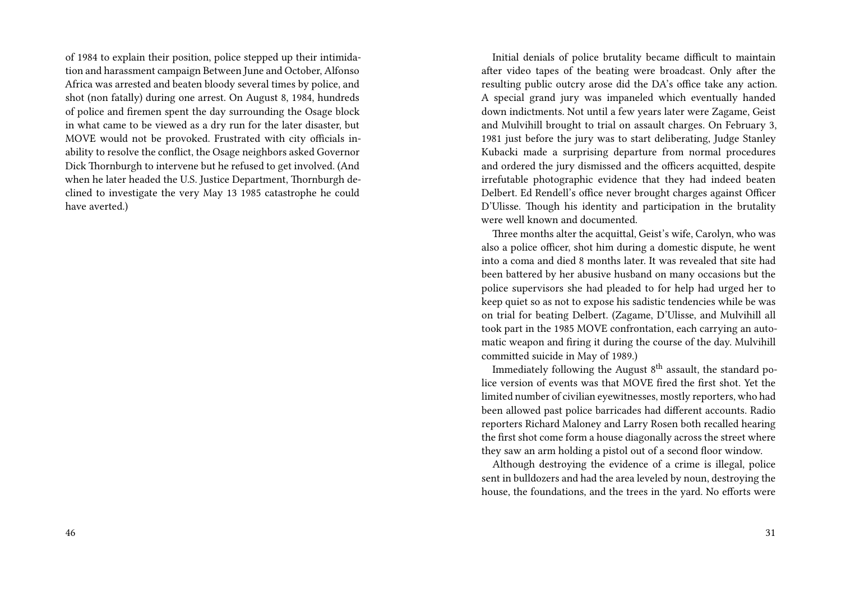of 1984 to explain their position, police stepped up their intimidation and harassment campaign Between June and October, Alfonso Africa was arrested and beaten bloody several times by police, and shot (non fatally) during one arrest. On August 8, 1984, hundreds of police and firemen spent the day surrounding the Osage block in what came to be viewed as a dry run for the later disaster, but MOVE would not be provoked. Frustrated with city officials inability to resolve the conflict, the Osage neighbors asked Governor Dick Thornburgh to intervene but he refused to get involved. (And when he later headed the U.S. Justice Department, Thornburgh declined to investigate the very May 13 1985 catastrophe he could have averted.)

Initial denials of police brutality became difficult to maintain after video tapes of the beating were broadcast. Only after the resulting public outcry arose did the DA's office take any action. A special grand jury was impaneled which eventually handed down indictments. Not until a few years later were Zagame, Geist and Mulvihill brought to trial on assault charges. On February 3, 1981 just before the jury was to start deliberating, Judge Stanley Kubacki made a surprising departure from normal procedures and ordered the jury dismissed and the officers acquitted, despite irrefutable photographic evidence that they had indeed beaten Delbert. Ed Rendell's office never brought charges against Officer D'Ulisse. Though his identity and participation in the brutality were well known and documented.

Three months alter the acquittal, Geist's wife, Carolyn, who was also a police officer, shot him during a domestic dispute, he went into a coma and died 8 months later. It was revealed that site had been battered by her abusive husband on many occasions but the police supervisors she had pleaded to for help had urged her to keep quiet so as not to expose his sadistic tendencies while be was on trial for beating Delbert. (Zagame, D'Ulisse, and Mulvihill all took part in the 1985 MOVE confrontation, each carrying an automatic weapon and firing it during the course of the day. Mulvihill committed suicide in May of 1989.)

Immediately following the August  $8<sup>th</sup>$  assault, the standard police version of events was that MOVE fired the first shot. Yet the limited number of civilian eyewitnesses, mostly reporters, who had been allowed past police barricades had different accounts. Radio reporters Richard Maloney and Larry Rosen both recalled hearing the first shot come form a house diagonally across the street where they saw an arm holding a pistol out of a second floor window.

Although destroying the evidence of a crime is illegal, police sent in bulldozers and had the area leveled by noun, destroying the house, the foundations, and the trees in the yard. No efforts were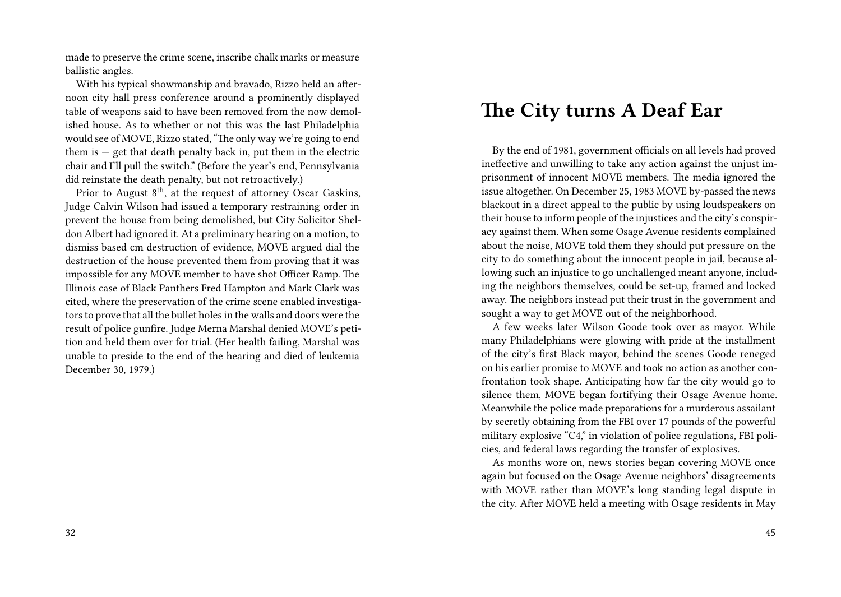made to preserve the crime scene, inscribe chalk marks or measure ballistic angles.

With his typical showmanship and bravado, Rizzo held an afternoon city hall press conference around a prominently displayed table of weapons said to have been removed from the now demolished house. As to whether or not this was the last Philadelphia would see of MOVE, Rizzo stated, "The only way we're going to end them is  $-$  get that death penalty back in, put them in the electric chair and I'll pull the switch." (Before the year's end, Pennsylvania did reinstate the death penalty, but not retroactively.)

Prior to August 8<sup>th</sup>, at the request of attorney Oscar Gaskins, Judge Calvin Wilson had issued a temporary restraining order in prevent the house from being demolished, but City Solicitor Sheldon Albert had ignored it. At a preliminary hearing on a motion, to dismiss based cm destruction of evidence, MOVE argued dial the destruction of the house prevented them from proving that it was impossible for any MOVE member to have shot Officer Ramp. The Illinois case of Black Panthers Fred Hampton and Mark Clark was cited, where the preservation of the crime scene enabled investigators to prove that all the bullet holes in the walls and doors were the result of police gunfire. Judge Merna Marshal denied MOVE's petition and held them over for trial. (Her health failing, Marshal was unable to preside to the end of the hearing and died of leukemia December 30, 1979.)

### **The City turns A Deaf Ear**

By the end of 1981, government officials on all levels had proved ineffective and unwilling to take any action against the unjust imprisonment of innocent MOVE members. The media ignored the issue altogether. On December 25, 1983 MOVE by-passed the news blackout in a direct appeal to the public by using loudspeakers on their house to inform people of the injustices and the city's conspiracy against them. When some Osage Avenue residents complained about the noise, MOVE told them they should put pressure on the city to do something about the innocent people in jail, because allowing such an injustice to go unchallenged meant anyone, including the neighbors themselves, could be set-up, framed and locked away. The neighbors instead put their trust in the government and sought a way to get MOVE out of the neighborhood.

A few weeks later Wilson Goode took over as mayor. While many Philadelphians were glowing with pride at the installment of the city's first Black mayor, behind the scenes Goode reneged on his earlier promise to MOVE and took no action as another confrontation took shape. Anticipating how far the city would go to silence them, MOVE began fortifying their Osage Avenue home. Meanwhile the police made preparations for a murderous assailant by secretly obtaining from the FBI over 17 pounds of the powerful military explosive "C4," in violation of police regulations, FBI policies, and federal laws regarding the transfer of explosives.

As months wore on, news stories began covering MOVE once again but focused on the Osage Avenue neighbors' disagreements with MOVE rather than MOVE's long standing legal dispute in the city. After MOVE held a meeting with Osage residents in May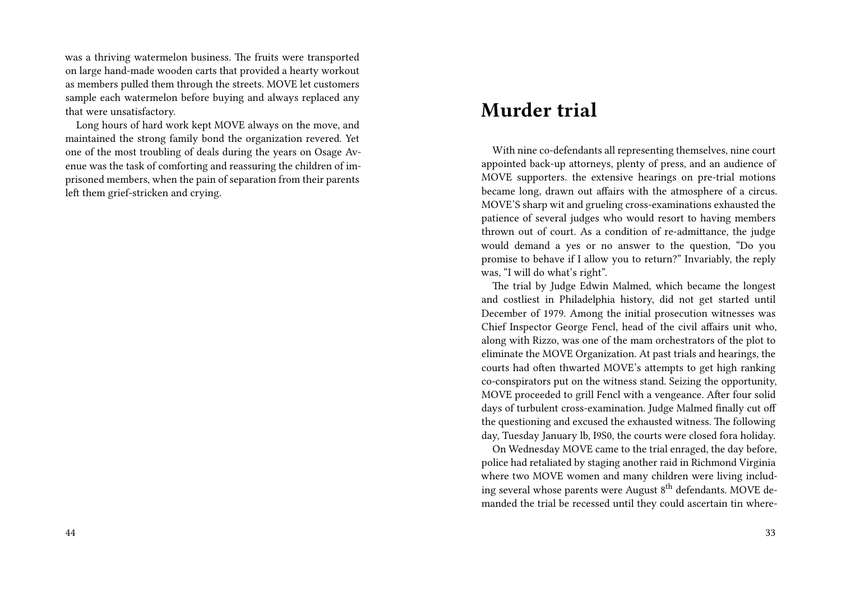was a thriving watermelon business. The fruits were transported on large hand-made wooden carts that provided a hearty workout as members pulled them through the streets. MOVE let customers sample each watermelon before buying and always replaced any that were unsatisfactory.

Long hours of hard work kept MOVE always on the move, and maintained the strong family bond the organization revered. Yet one of the most troubling of deals during the years on Osage Avenue was the task of comforting and reassuring the children of imprisoned members, when the pain of separation from their parents left them grief-stricken and crying.

#### **Murder trial**

With nine co-defendants all representing themselves, nine court appointed back-up attorneys, plenty of press, and an audience of MOVE supporters. the extensive hearings on pre-trial motions became long, drawn out affairs with the atmosphere of a circus. MOVE'S sharp wit and grueling cross-examinations exhausted the patience of several judges who would resort to having members thrown out of court. As a condition of re-admittance, the judge would demand a yes or no answer to the question, "Do you promise to behave if I allow you to return?" Invariably, the reply was, "I will do what's right".

The trial by Judge Edwin Malmed, which became the longest and costliest in Philadelphia history, did not get started until December of 1979. Among the initial prosecution witnesses was Chief Inspector George Fencl, head of the civil affairs unit who, along with Rizzo, was one of the mam orchestrators of the plot to eliminate the MOVE Organization. At past trials and hearings, the courts had often thwarted MOVE's attempts to get high ranking co-conspirators put on the witness stand. Seizing the opportunity, MOVE proceeded to grill Fencl with a vengeance. After four solid days of turbulent cross-examination. Judge Malmed finally cut off the questioning and excused the exhausted witness. The following day, Tuesday January lb, I9S0, the courts were closed fora holiday.

On Wednesday MOVE came to the trial enraged, the day before, police had retaliated by staging another raid in Richmond Virginia where two MOVE women and many children were living including several whose parents were August 8<sup>th</sup> defendants. MOVE demanded the trial be recessed until they could ascertain tin where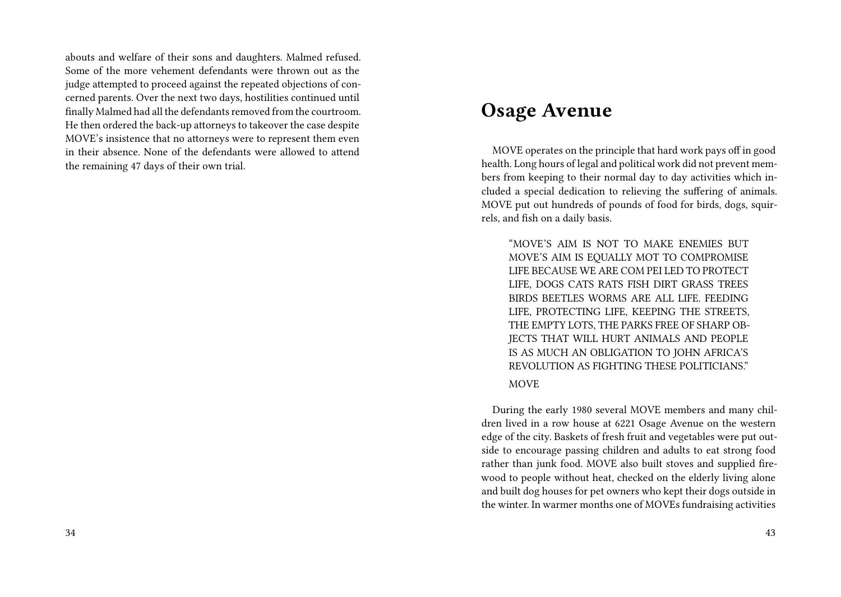abouts and welfare of their sons and daughters. Malmed refused. Some of the more vehement defendants were thrown out as the judge attempted to proceed against the repeated objections of concerned parents. Over the next two days, hostilities continued until finally Malmed had all the defendants removed from the courtroom. He then ordered the back-up attorneys to takeover the case despite MOVE's insistence that no attorneys were to represent them even in their absence. None of the defendants were allowed to attend the remaining 47 days of their own trial.

### **Osage Avenue**

MOVE operates on the principle that hard work pays off in good health. Long hours of legal and political work did not prevent members from keeping to their normal day to day activities which included a special dedication to relieving the suffering of animals. MOVE put out hundreds of pounds of food for birds, dogs, squirrels, and fish on a daily basis.

"MOVE'S AIM IS NOT TO MAKE ENEMIES BUT MOVE'S AIM IS EQUALLY MOT TO COMPROMISE LIFE BECAUSE WE ARE COM PEI LED TO PROTECT LIFE, DOGS CATS RATS FISH DIRT GRASS TREES BIRDS BEETLES WORMS ARE ALL LIFE. FEEDING LIFE, PROTECTING LIFE, KEEPING THE STREETS, THE EMPTY LOTS, THE PARKS FREE OF SHARP OB-JECTS THAT WILL HURT ANIMALS AND PEOPLE IS AS MUCH AN OBLIGATION TO JOHN AFRICA'S REVOLUTION AS FIGHTING THESE POLITICIANS."

#### MOVE

During the early 1980 several MOVE members and many children lived in a row house at 6221 Osage Avenue on the western edge of the city. Baskets of fresh fruit and vegetables were put outside to encourage passing children and adults to eat strong food rather than junk food. MOVE also built stoves and supplied firewood to people without heat, checked on the elderly living alone and built dog houses for pet owners who kept their dogs outside in the winter. In warmer months one of MOVEs fundraising activities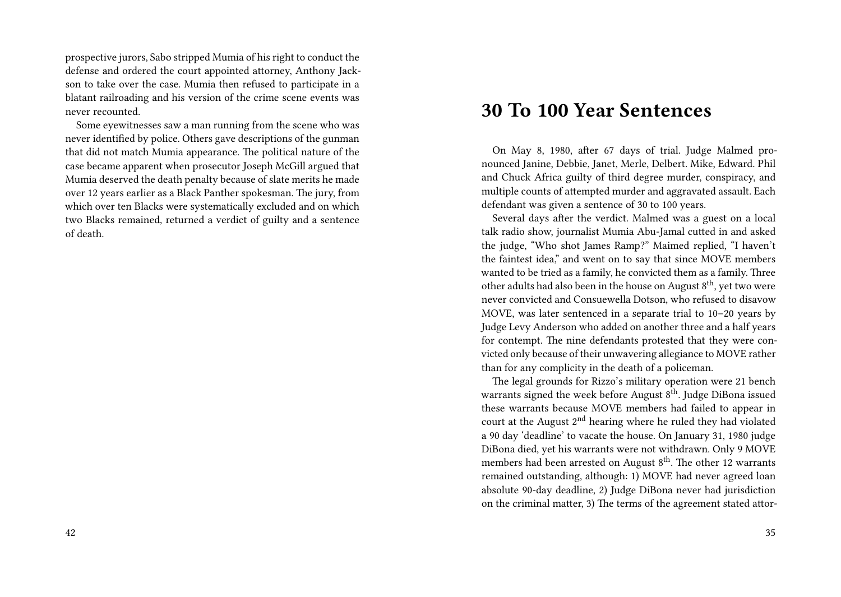prospective jurors, Sabo stripped Mumia of his right to conduct the defense and ordered the court appointed attorney, Anthony Jackson to take over the case. Mumia then refused to participate in a blatant railroading and his version of the crime scene events was never recounted.

Some eyewitnesses saw a man running from the scene who was never identified by police. Others gave descriptions of the gunman that did not match Mumia appearance. The political nature of the case became apparent when prosecutor Joseph McGill argued that Mumia deserved the death penalty because of slate merits he made over 12 years earlier as a Black Panther spokesman. The jury, from which over ten Blacks were systematically excluded and on which two Blacks remained, returned a verdict of guilty and a sentence of death.

#### **30 To 100 Year Sentences**

On May 8, 1980, after 67 days of trial. Judge Malmed pronounced Janine, Debbie, Janet, Merle, Delbert. Mike, Edward. Phil and Chuck Africa guilty of third degree murder, conspiracy, and multiple counts of attempted murder and aggravated assault. Each defendant was given a sentence of 30 to 100 years.

Several days after the verdict. Malmed was a guest on a local talk radio show, journalist Mumia Abu-Jamal cutted in and asked the judge, "Who shot James Ramp?" Maimed replied, "I haven't the faintest idea," and went on to say that since MOVE members wanted to be tried as a family, he convicted them as a family. Three other adults had also been in the house on August  $8<sup>th</sup>$ , yet two were never convicted and Consuewella Dotson, who refused to disavow MOVE, was later sentenced in a separate trial to 10–20 years by Judge Levy Anderson who added on another three and a half years for contempt. The nine defendants protested that they were convicted only because of their unwavering allegiance to MOVE rather than for any complicity in the death of a policeman.

The legal grounds for Rizzo's military operation were 21 bench warrants signed the week before August  $8<sup>th</sup>$ . Judge DiBona issued these warrants because MOVE members had failed to appear in court at the August  $2<sup>nd</sup>$  hearing where he ruled they had violated a 90 day 'deadline' to vacate the house. On January 31, 1980 judge DiBona died, yet his warrants were not withdrawn. Only 9 MOVE members had been arrested on August  $8<sup>th</sup>$ . The other 12 warrants remained outstanding, although: 1) MOVE had never agreed loan absolute 90-day deadline, 2) Judge DiBona never had jurisdiction on the criminal matter, 3) The terms of the agreement stated attor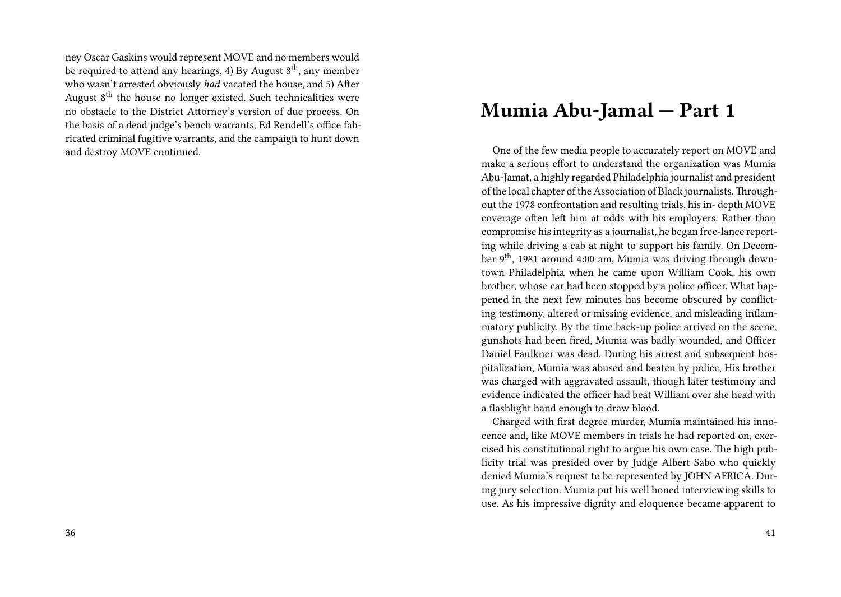ney Oscar Gaskins would represent MOVE and no members would be required to attend any hearings, 4) By August  $8<sup>th</sup>$ , any member who wasn't arrested obviously *had* vacated the house, and 5) After August  $8<sup>th</sup>$  the house no longer existed. Such technicalities were no obstacle to the District Attorney's version of due process. On the basis of a dead judge's bench warrants, Ed Rendell's office fabricated criminal fugitive warrants, and the campaign to hunt down and destroy MOVE continued.

#### **Mumia Abu-Jamal — Part 1**

One of the few media people to accurately report on MOVE and make a serious effort to understand the organization was Mumia Abu-Jamat, a highly regarded Philadelphia journalist and president of the local chapter of the Association of Black journalists.Throughout the 1978 confrontation and resulting trials, his in- depth MOVE coverage often left him at odds with his employers. Rather than compromise his integrity as a journalist, he began free-lance reporting while driving a cab at night to support his family. On December 9<sup>th</sup>, 1981 around 4:00 am, Mumia was driving through downtown Philadelphia when he came upon William Cook, his own brother, whose car had been stopped by a police officer. What happened in the next few minutes has become obscured by conflicting testimony, altered or missing evidence, and misleading inflammatory publicity. By the time back-up police arrived on the scene, gunshots had been fired, Mumia was badly wounded, and Officer Daniel Faulkner was dead. During his arrest and subsequent hospitalization, Mumia was abused and beaten by police, His brother was charged with aggravated assault, though later testimony and evidence indicated the officer had beat William over she head with a flashlight hand enough to draw blood.

Charged with first degree murder, Mumia maintained his innocence and, like MOVE members in trials he had reported on, exercised his constitutional right to argue his own case. The high publicity trial was presided over by Judge Albert Sabo who quickly denied Mumia's request to be represented by JOHN AFRICA. During jury selection. Mumia put his well honed interviewing skills to use. As his impressive dignity and eloquence became apparent to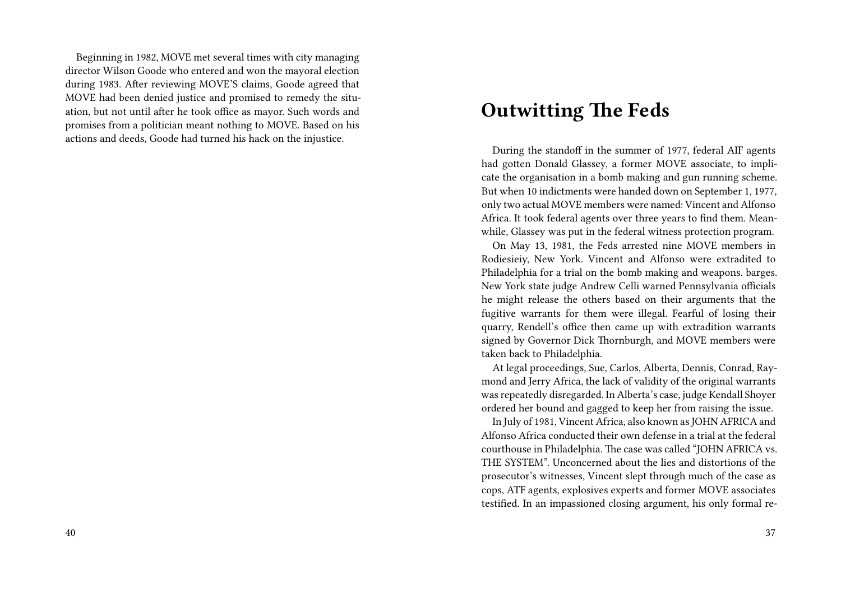Beginning in 1982, MOVE met several times with city managing director Wilson Goode who entered and won the mayoral election during 1983. After reviewing MOVE'S claims, Goode agreed that MOVE had been denied justice and promised to remedy the situation, but not until after he took office as mayor. Such words and promises from a politician meant nothing to MOVE. Based on his actions and deeds, Goode had turned his hack on the injustice.

### **Outwitting The Feds**

During the standoff in the summer of 1977, federal AIF agents had gotten Donald Glassey, a former MOVE associate, to implicate the organisation in a bomb making and gun running scheme. But when 10 indictments were handed down on September 1, 1977, only two actual MOVE members were named: Vincent and Alfonso Africa. It took federal agents over three years to find them. Meanwhile, Glassey was put in the federal witness protection program.

On May 13, 1981, the Feds arrested nine MOVE members in Rodiesieiy, New York. Vincent and Alfonso were extradited to Philadelphia for a trial on the bomb making and weapons. barges. New York state judge Andrew Celli warned Pennsylvania officials he might release the others based on their arguments that the fugitive warrants for them were illegal. Fearful of losing their quarry, Rendell's office then came up with extradition warrants signed by Governor Dick Thornburgh, and MOVE members were taken back to Philadelphia.

At legal proceedings, Sue, Carlos, Alberta, Dennis, Conrad, Raymond and Jerry Africa, the lack of validity of the original warrants was repeatedly disregarded. In Alberta's case, judge Kendall Shoyer ordered her bound and gagged to keep her from raising the issue.

In July of 1981, Vincent Africa, also known as JOHN AFRICA and Alfonso Africa conducted their own defense in a trial at the federal courthouse in Philadelphia. The case was called "JOHN AFRICA vs. THE SYSTEM". Unconcerned about the lies and distortions of the prosecutor's witnesses, Vincent slept through much of the case as cops, ATF agents, explosives experts and former MOVE associates testified. In an impassioned closing argument, his only formal re